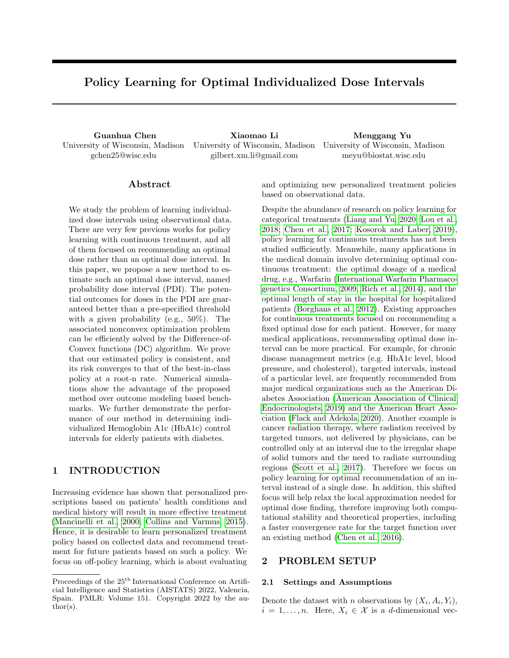# Policy Learning for Optimal Individualized Dose Intervals

University of Wisconsin, Madison gchen25@wisc.edu

Guanhua Chen Xiaomao Li Menggang Yu University of Wisconsin, Madison University of Wisconsin, Madison gilbert.xm.li@gmail.com

meyu@biostat.wisc.edu

# ${\rm Abstract}$

We study the problem of learning individualized dose intervals using observational data. There are very few previous works for policy learning with continuous treatment, and all of them focused on recommending an optimal dose rather than an optimal dose interval. In this paper, we propose a new method to estimate such an optimal dose interval, named probability dose interval (PDI). The potential outcomes for doses in the PDI are guaranteed better than a pre-specified threshold with a given probability (e.g., 50%). The associated nonconvex optimization problem can be efficiently solved by the Difference-of-Convex functions (DC) algorithm. We prove that our estimated policy is consistent, and its risk converges to that of the best-in-class policy at a root-n rate. Numerical simulations show the advantage of the proposed method over outcome modeling based benchmarks. We further demonstrate the performance of our method in determining individualized Hemoglobin A1c (HbA1c) control intervals for elderly patients with diabetes.

# 1 INTRODUCTION

Increasing evidence has shown that personalized prescriptions based on patients' health conditions and medical history will result in more effective treatment [\(Mancinelli et al., 2000;](#page-9-0) [Collins and Varmus, 2015\)](#page-8-0). Hence, it is desirable to learn personalized treatment policy based on collected data and recommend treatment for future patients based on such a policy. We focus on off-policy learning, which is about evaluating and optimizing new personalized treatment policies based on observational data.

Despite the abundance of research on policy learning for categorical treatments [\(Liang and Yu, 2020;](#page-9-1) [Lou et al.,](#page-9-2) [2018;](#page-9-2) [Chen et al., 2017;](#page-8-1) [Kosorok and Laber, 2019\)](#page-9-3), policy learning for continuous treatments has not been studied sufficiently. Meanwhile, many applications in the medical domain involve determining optimal continuous treatment: the optimal dosage of a medical drug, e.g., Warfarin [\(International Warfarin Pharmaco](#page-9-4)[genetics Consortium, 2009;](#page-9-4) [Rich et al., 2014\)](#page-9-5), and the optimal length of stay in the hospital for hospitalized patients [\(Borghans et al., 2012\)](#page-8-2). Existing approaches for continuous treatments focused on recommending a fixed optimal dose for each patient. However, for many medical applications, recommending optimal dose interval can be more practical. For example, for chronic disease management metrics (e.g. HbA1c level, blood pressure, and cholesterol), targeted intervals, instead of a particular level, are frequently recommended from major medical organizations such as the American Diabetes Association [\(American Association of Clinical](#page-8-3) [Endocrinologists, 2019\)](#page-8-3) and the American Heart Association [\(Flack and Adekola, 2020\)](#page-8-4). Another example is cancer radiation therapy, where radiation received by targeted tumors, not delivered by physicians, can be controlled only at an interval due to the irregular shape of solid tumors and the need to radiate surrounding regions [\(Scott et al., 2017\)](#page-9-6). Therefore we focus on policy learning for optimal recommendation of an interval instead of a single dose. In addition, this shifted focus will help relax the local approximation needed for optimal dose finding, therefore improving both computational stability and theoretical properties, including a faster convergence rate for the target function over an existing method [\(Chen et al., 2016\)](#page-8-5).

# 2 PROBLEM SETUP

#### 2.1 Settings and Assumptions

Denote the dataset with *n* observations by  $(X_i, A_i, Y_i)$ ,  $i = 1, \ldots, n$ . Here,  $X_i \in \mathcal{X}$  is a d-dimensional vec-

Proceedings of the  $25^{\text{th}}$  International Conference on Artificial Intelligence and Statistics (AISTATS) 2022, Valencia, Spain. PMLR: Volume 151. Copyright 2022 by the au- $\text{thor}(s)$ .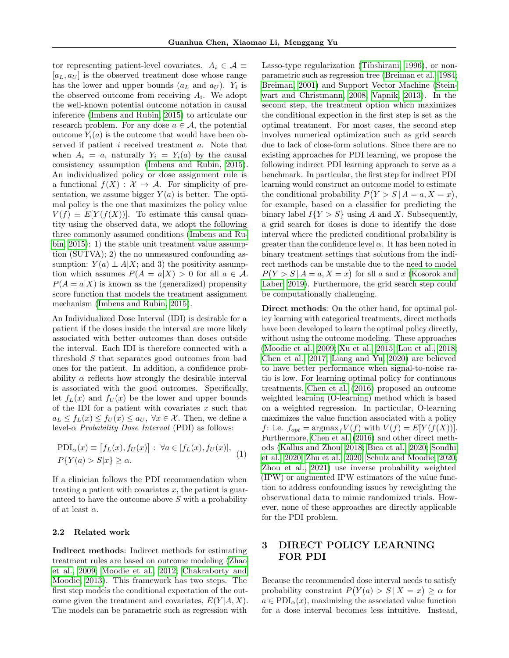tor representing patient-level covariates.  $A_i \in \mathcal{A} \equiv$  $[a_L, a_U]$  is the observed treatment dose whose range has the lower and upper bounds  $(a<sub>L</sub>$  and  $a<sub>U</sub>)$ .  $Y<sub>i</sub>$  is the observed outcome from receiving  $A_i$ . We adopt the well-known potential outcome notation in causal inference [\(Imbens and Rubin, 2015\)](#page-9-7) to articulate our research problem. For any dose  $a \in \mathcal{A}$ , the potential outcome  $Y_i(a)$  is the outcome that would have been observed if patient *i* received treatment *a*. Note that when  $A_i = a$ , naturally  $Y_i = Y_i(a)$  by the causal consistency assumption [\(Imbens and Rubin, 2015\)](#page-9-7). An individualized policy or dose assignment rule is a functional  $f(X) : \mathcal{X} \to \mathcal{A}$ . For simplicity of presentation, we assume bigger  $Y(a)$  is better. The optimal policy is the one that maximizes the policy value  $V(f) \equiv E[Y(f(X))]$ . To estimate this causal quantity using the observed data, we adopt the following three commonly assumed conditions [\(Imbens and Ru](#page-9-7)[bin, 2015\)](#page-9-7): 1) the stable unit treatment value assumption (SUTVA); 2) the no unmeasured confounding assumption:  $Y(a) \perp A \mid X$ ; and 3) the positivity assumption which assumes  $P(A = a|X) > 0$  for all  $a \in \mathcal{A}$ .  $P(A = a|X)$  is known as the (generalized) propensity score function that models the treatment assignment mechanism [\(Imbens and Rubin, 2015\)](#page-9-7).

An Individualized Dose Interval (IDI) is desirable for a patient if the doses inside the interval are more likely associated with better outcomes than doses outside the interval. Each IDI is therefore connected with a threshold S that separates good outcomes from bad ones for the patient. In addition, a confidence probability  $\alpha$  reflects how strongly the desirable interval is associated with the good outcomes. Specifically, let  $f_L(x)$  and  $f_U(x)$  be the lower and upper bounds of the IDI for a patient with covariates  $x$  such that  $a_L \le f_L(x) \le f_U(x) \le a_U, \ \forall x \in \mathcal{X}$ . Then, we define a level- $\alpha$  Probability Dose Interval (PDI) as follows:

$$
PDI_{\alpha}(x) \equiv [f_L(x), f_U(x)] : \forall a \in [f_L(x), f_U(x)],
$$
  

$$
P\{Y(a) > S|x\} \ge \alpha.
$$
 (1)

If a clinician follows the PDI recommendation when treating a patient with covariates  $x$ , the patient is guaranteed to have the outcome above S with a probability of at least  $\alpha$ .

### 2.2 Related work

Indirect methods: Indirect methods for estimating treatment rules are based on outcome modeling [\(Zhao](#page-10-0) [et al., 2009;](#page-10-0) [Moodie et al., 2012;](#page-9-8) [Chakraborty and](#page-8-6) [Moodie, 2013\)](#page-8-6). This framework has two steps. The first step models the conditional expectation of the outcome given the treatment and covariates,  $E(Y|A, X)$ . The models can be parametric such as regression with Lasso-type regularization [\(Tibshirani, 1996\)](#page-9-9), or nonparametric such as regression tree [\(Breiman et al., 1984;](#page-8-7) [Breiman, 2001\)](#page-8-8) and Support Vector Machine [\(Stein](#page-9-10)[wart and Christmann, 2008;](#page-9-10) [Vapnik, 2013\)](#page-10-1). In the second step, the treatment option which maximizes the conditional expection in the first step is set as the optimal treatment. For most cases, the second step involves numerical optimization such as grid search due to lack of close-form solutions. Since there are no existing approaches for PDI learning, we propose the following indirect PDI learning approach to serve as a benchmark. In particular, the first step for indirect PDI learning would construct an outcome model to estimate the conditional probability  $P(Y > S | A = a, X = x)$ , for example, based on a classifier for predicting the binary label  $I{Y > S}$  using A and X. Subsequently, a grid search for doses is done to identify the dose interval where the predicted conditional probability is greater than the confidence level  $\alpha$ . It has been noted in binary treatment settings that solutions from the indirect methods can be unstable due to the need to model  $P(Y > S | A = a, X = x)$  for all a and x [\(Kosorok and](#page-9-3) [Laber, 2019\)](#page-9-3). Furthermore, the grid search step could be computationally challenging.

Direct methods: On the other hand, for optimal policy learning with categorical treatments, direct methods have been developed to learn the optimal policy directly, without using the outcome modeling. These approaches [\(Moodie et al., 2009;](#page-9-11) [Xu et al., 2015;](#page-10-2) [Lou et al., 2018;](#page-9-2) [Chen et al., 2017;](#page-8-1) [Liang and Yu, 2020\)](#page-9-1) are believed to have better performance when signal-to-noise ratio is low. For learning optimal policy for continuous treatments, [Chen et al.](#page-8-5) [\(2016\)](#page-8-5) proposed an outcome weighted learning (O-learning) method which is based on a weighted regression. In particular, O-learning maximizes the value function associated with a policy f: i.e.  $f_{opt} = \text{argmax}_f V(f)$  with  $V(f) = E[Y(f(X))].$ Furthermore, [Chen et al.](#page-8-5) [\(2016\)](#page-8-5) and other direct methods [\(Kallus and Zhou, 2018;](#page-9-12) [Bica et al., 2020;](#page-8-9) [Sondhi](#page-9-13) [et al., 2020;](#page-9-13) [Zhu et al., 2020;](#page-10-3) [Schulz and Moodie, 2020;](#page-9-14) [Zhou et al., 2021\)](#page-10-4) use inverse probability weighted (IPW) or augmented IPW estimators of the value function to address confounding issues by reweighting the observational data to mimic randomized trials. However, none of these approaches are directly applicable for the PDI problem.

# 3 DIRECT POLICY LEARNING FOR PDI

Because the recommended dose interval needs to satisfy probability constraint  $P(Y(a) > S | X = x) \ge \alpha$  for  $a \in \text{PDI}_{\alpha}(x)$ , maximizing the associated value function for a dose interval becomes less intuitive. Instead,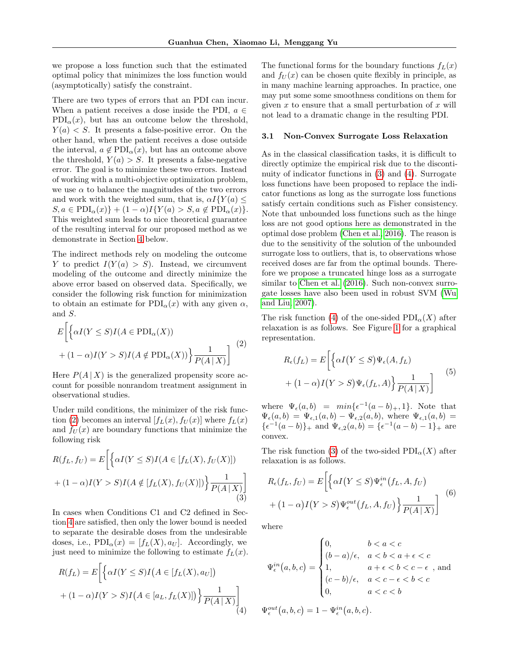we propose a loss function such that the estimated optimal policy that minimizes the loss function would (asymptotically) satisfy the constraint.

There are two types of errors that an PDI can incur. When a patient receives a dose inside the PDI,  $a \in$  $PDI_{\alpha}(x)$ , but has an outcome below the threshold,  $Y(a) < S$ . It presents a false-positive error. On the other hand, when the patient receives a dose outside the interval,  $a \notin \mathrm{PDI}_{\alpha}(x)$ , but has an outcome above the threshold,  $Y(a) > S$ . It presents a false-negative error. The goal is to minimize these two errors. Instead of working with a multi-objective optimization problem, we use  $\alpha$  to balance the magnitudes of the two errors and work with the weighted sum, that is,  $\alpha I(Y(a) \leq$  $S, a \in \text{PDI}_{\alpha}(x) \} + (1 - \alpha)I\{Y(a) > S, a \notin \text{PDI}_{\alpha}(x)\}.$ This weighted sum leads to nice theoretical guarantee of the resulting interval for our proposed method as we demonstrate in Section [4](#page-4-0) below.

The indirect methods rely on modeling the outcome Y to predict  $I(Y(a) > S)$ . Instead, we circumvent modeling of the outcome and directly minimize the above error based on observed data. Specifically, we consider the following risk function for minimization to obtain an estimate for  $PDI_{\alpha}(x)$  with any given  $\alpha$ , and S.

<span id="page-2-0"></span>
$$
E\left[\left\{\alpha I(Y \le S)I(A \in \mathrm{PDI}_{\alpha}(X))\right.\right.+(1-\alpha)I(Y > S)I(A \notin \mathrm{PDI}_{\alpha}(X))\right\}\frac{1}{P(A \mid X)}\right]^{(2)}
$$

Here  $P(A | X)$  is the generalized propensity score account for possible nonrandom treatment assignment in observational studies.

Under mild conditions, the minimizer of the risk func-tion [\(2\)](#page-2-0) becomes an interval  $[f_L(x), f_U(x)]$  where  $f_L(x)$ and  $f_U(x)$  are boundary functions that minimize the following risk

<span id="page-2-1"></span>
$$
R(f_L, f_U) = E\left[\left\{\alpha I(Y \le S)I(A \in [f_L(X), f_U(X)])\right.\right.\\
\left. + (1 - \alpha)I(Y > S)I(A \notin [f_L(X), f_U(X)])\right\}\frac{1}{P(A \mid X)}\right]
$$
\n(3)

In cases when Conditions C1 and C2 defined in Section [4](#page-4-0) are satisfied, then only the lower bound is needed to separate the desirable doses from the undesirable doses, i.e.,  $PDI_{\alpha}(x) = [f_L(X), a_U].$  Accordingly, we just need to minimize the following to estimate  $f_L(x)$ .

<span id="page-2-2"></span>
$$
R(f_L) = E\left[\left\{\alpha I(Y \le S)I\left(A \in [f_L(X), a_U]\right) + (1 - \alpha)I(Y > S)I\left(A \in [a_L, f_L(X)]\right)\right\}\frac{1}{P(A \mid X)}\right]
$$
\n
$$
(4)
$$

The functional forms for the boundary functions  $f_L(x)$ and  $f_U(x)$  can be chosen quite flexibly in principle, as in many machine learning approaches. In practice, one may put some some smoothness conditions on them for given  $x$  to ensure that a small perturbation of  $x$  will not lead to a dramatic change in the resulting PDI.

### 3.1 Non-Convex Surrogate Loss Relaxation

As in the classical classification tasks, it is difficult to directly optimize the empirical risk due to the discontinuity of indicator functions in [\(3\)](#page-2-1) and [\(4\)](#page-2-2). Surrogate loss functions have been proposed to replace the indicator functions as long as the surrogate loss functions satisfy certain conditions such as Fisher consistency. Note that unbounded loss functions such as the hinge loss are not good options here as demonstrated in the optimal dose problem [\(Chen et al., 2016\)](#page-8-5). The reason is due to the sensitivity of the solution of the unbounded surrogate loss to outliers, that is, to observations whose received doses are far from the optimal bounds. Therefore we propose a truncated hinge loss as a surrogate similar to [Chen et al.](#page-8-5) [\(2016\)](#page-8-5). Such non-convex surrogate losses have also been used in robust SVM [\(Wu](#page-10-5) [and Liu, 2007\)](#page-10-5).

The risk function [\(4\)](#page-2-2) of the one-sided  $PDI_{\alpha}(X)$  after relaxation is as follows. See Figure [1](#page-3-0) for a graphical representation.

<span id="page-2-3"></span>
$$
R_{\epsilon}(f_L) = E\left[\left\{\alpha I(Y \le S)\Psi_{\epsilon}(A, f_L) + (1-\alpha)I(Y > S)\Psi_{\epsilon}(f_L, A)\right\}\frac{1}{P(A|X)}\right] \tag{5}
$$

where  $\Psi_{\epsilon}(a,b) = min{\epsilon^{-1}(a-b)_+,1}.$  Note that  $\Psi_{\epsilon}(a, b) = \Psi_{\epsilon,1}(a, b) - \Psi_{\epsilon,2}(a, b)$ , where  $\Psi_{\epsilon,1}(a, b) =$  $\{\epsilon^{-1}(a-b)\}_+$  and  $\Psi_{\epsilon,2}(a,b) = \{\epsilon^{-1}(a-b)-1\}_+$  are convex.

The risk function [\(3\)](#page-2-1) of the two-sided  $PDI_{\alpha}(X)$  after relaxation is as follows.

$$
R_{\epsilon}(f_L, f_U) = E\left[\left\{\alpha I(Y \le S)\Psi_{\epsilon}^{in}(f_L, A, f_U) + (1-\alpha)I(Y > S)\Psi_{\epsilon}^{out}(f_L, A, f_U)\right\}\frac{1}{P(A|X)}\right] \tag{6}
$$

where

$$
\Psi_{\epsilon}^{in}(a,b,c) = \begin{cases}\n0, & b < a < c \\
(b-a)/\epsilon, & a < b < a + \epsilon < c \\
1, & a + \epsilon < b < c - \epsilon \text{ , and} \\
(c-b)/\epsilon, & a < c - \epsilon < b < c \\
0, & a < c < b\n\end{cases}
$$
\n
$$
\Psi_{\epsilon}^{out}(a,b,c) = 1 - \Psi_{\epsilon}^{in}(a,b,c).
$$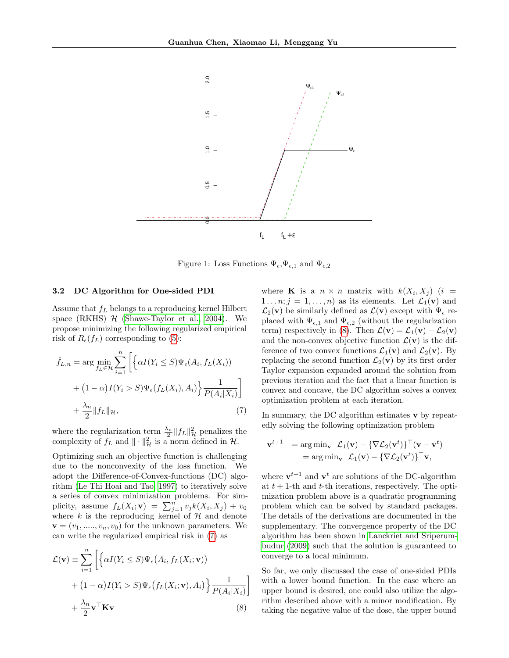

<span id="page-3-0"></span>Figure 1: Loss Functions  $\Psi_{\epsilon}, \Psi_{\epsilon,1}$  and  $\Psi_{\epsilon,2}$ 

#### 3.2 DC Algorithm for One-sided PDI

Assume that  $f<sub>L</sub>$  belongs to a reproducing kernel Hilbert space (RKHS)  $H$  [\(Shawe-Taylor et al., 2004\)](#page-9-15). We propose minimizing the following regularized empirical risk of  $R_{\epsilon}(f_L)$  corresponding to [\(5\)](#page-2-3):

$$
\hat{f}_{L,n} = \arg \min_{f_L \in \mathcal{H}} \sum_{i=1}^n \left[ \left\{ \alpha I(Y_i \le S) \Psi_{\epsilon}(A_i, f_L(X_i)) + (1 - \alpha) I(Y_i > S) \Psi_{\epsilon}(f_L(X_i), A_i) \right\} \frac{1}{P(A_i | X_i)} \right] + \frac{\lambda_n}{2} ||f_L||_{\mathcal{H}},
$$
\n(7)

where the regularization term  $\frac{\lambda_n}{2} ||f_L||^2_{\mathcal{H}}$  penalizes the complexity of  $f_L$  and  $\|\cdot\|_{\mathcal{H}}^2$  is a norm defined in  $\mathcal{H}$ .

Optimizing such an objective function is challenging due to the nonconvexity of the loss function. We adopt the Difference-of-Convex-functions (DC) algorithm [\(Le Thi Hoai and Tao, 1997\)](#page-9-16) to iteratively solve a series of convex minimization problems. For simplicity, assume  $f_L(X_i; \mathbf{v}) = \sum_{j=1}^n v_j k(X_i, X_j) + v_0$ where  $k$  is the reproducing kernel of  $H$  and denote  $\mathbf{v} = (v_1, \ldots, v_n, v_0)$  for the unknown parameters. We can write the regularized empirical risk in [\(7\)](#page-3-1) as

$$
\mathcal{L}(\mathbf{v}) \equiv \sum_{i=1}^{n} \left[ \left\{ \alpha I(Y_i \leq S) \Psi_{\epsilon} (A_i, f_L(X_i; \mathbf{v})) + (1 - \alpha) I(Y_i > S) \Psi_{\epsilon} (f_L(X_i; \mathbf{v}), A_i) \right\} \frac{1}{P(A_i|X_i)} \right] + \frac{\lambda_n}{2} \mathbf{v}^\top \mathbf{K} \mathbf{v}
$$
\n(8)

where **K** is a  $n \times n$  matrix with  $k(X_i, X_j)$  (i =  $1 \dots n; j = 1, \dots, n$  as its elements. Let  $\mathcal{L}_1(\mathbf{v})$  and  $\mathcal{L}_2(\mathbf{v})$  be similarly defined as  $\mathcal{L}(\mathbf{v})$  except with  $\Psi_{\epsilon}$  replaced with  $\Psi_{\epsilon,1}$  and  $\Psi_{\epsilon,2}$  (without the regularization term) respectively in [\(8\)](#page-3-2). Then  $\mathcal{L}(\mathbf{v}) = \mathcal{L}_1(\mathbf{v}) - \mathcal{L}_2(\mathbf{v})$ and the non-convex objective function  $\mathcal{L}(v)$  is the difference of two convex functions  $\mathcal{L}_1(\mathbf{v})$  and  $\mathcal{L}_2(\mathbf{v})$ . By replacing the second function  $\mathcal{L}_2(\mathbf{v})$  by its first order Taylor expansion expanded around the solution from previous iteration and the fact that a linear function is convex and concave, the DC algorithm solves a convex optimization problem at each iteration.

<span id="page-3-1"></span>In summary, the DC algorithm estimates v by repeatedly solving the following optimization problem

$$
\mathbf{v}^{t+1} = \arg\min_{\mathbf{v}} \ \mathcal{L}_1(\mathbf{v}) - \{\nabla \mathcal{L}_2(\mathbf{v}^t)\}^\top (\mathbf{v} - \mathbf{v}^t) = \arg\min_{\mathbf{v}} \ \mathcal{L}_1(\mathbf{v}) - \{\nabla \mathcal{L}_2(\mathbf{v}^t)\}^\top \mathbf{v},
$$

where  $\mathbf{v}^{t+1}$  and  $\mathbf{v}^t$  are solutions of the DC-algorithm at  $t + 1$ -th and  $t$ -th iterations, respectively. The optimization problem above is a quadratic programming problem which can be solved by standard packages. The details of the derivations are documented in the supplementary. The convergence property of the DC algorithm has been shown in [Lanckriet and Sriperum](#page-9-17)[budur](#page-9-17) [\(2009\)](#page-9-17) such that the solution is guaranteed to converge to a local minimum.

<span id="page-3-2"></span>So far, we only discussed the case of one-sided PDIs with a lower bound function. In the case where an upper bound is desired, one could also utilize the algorithm described above with a minor modification. By taking the negative value of the dose, the upper bound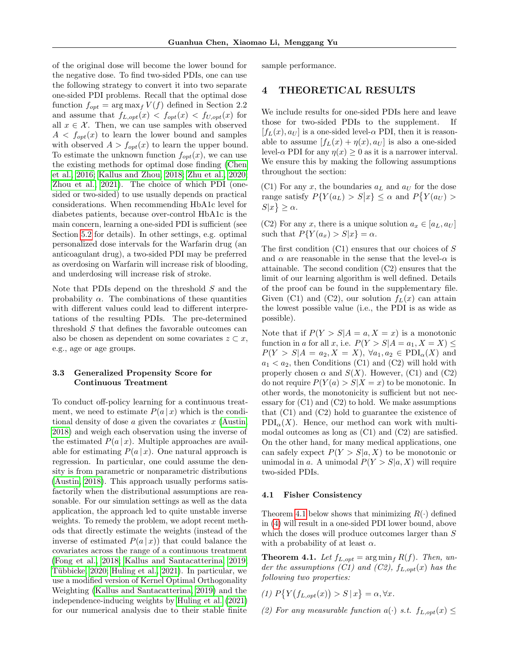of the original dose will become the lower bound for the negative dose. To find two-sided PDIs, one can use the following strategy to convert it into two separate one-sided PDI problems. Recall that the optimal dose function  $f_{opt} = \arg \max_f V(f)$  defined in Section 2.2 and assume that  $f_{L,opt}(x) < f_{opt}(x) < f_{U,opt}(x)$  for all  $x \in \mathcal{X}$ . Then, we can use samples with observed  $A < f_{opt}(x)$  to learn the lower bound and samples with observed  $A > f_{opt}(x)$  to learn the upper bound. To estimate the unknown function  $f_{opt}(x)$ , we can use the existing methods for optimal dose finding [\(Chen](#page-8-5) [et al., 2016;](#page-8-5) [Kallus and Zhou, 2018;](#page-9-12) [Zhu et al., 2020;](#page-10-3) [Zhou et al., 2021\)](#page-10-4). The choice of which PDI (onesided or two-sided) to use usually depends on practical considerations. When recommending HbA1c level for diabetes patients, because over-control HbA1c is the main concern, learning a one-sided PDI is sufficient (see Section [5.2](#page-6-0) for details). In other settings, e.g. optimal personalized dose intervals for the Warfarin drug (an anticoagulant drug), a two-sided PDI may be preferred as overdosing on Warfarin will increase risk of blooding, and underdosing will increase risk of stroke.

Note that PDIs depend on the threshold  $S$  and the probability  $\alpha$ . The combinations of these quantities with different values could lead to different interpretations of the resulting PDIs. The pre-determined threshold S that defines the favorable outcomes can also be chosen as dependent on some covariates  $z \subset x$ , e.g., age or age groups.

## <span id="page-4-2"></span>3.3 Generalized Propensity Score for Continuous Treatment

To conduct off-policy learning for a continuous treatment, we need to estimate  $P(a | x)$  which is the conditional density of dose  $\alpha$  given the covariates  $x$  [\(Austin,](#page-8-10) [2018\)](#page-8-10) and weigh each observation using the inverse of the estimated  $P(a | x)$ . Multiple approaches are available for estimating  $P(a | x)$ . One natural approach is regression. In particular, one could assume the density is from parametric or nonparametric distributions [\(Austin, 2018\)](#page-8-10). This approach usually performs satisfactorily when the distributional assumptions are reasonable. For our simulation settings as well as the data application, the approach led to quite unstable inverse weights. To remedy the problem, we adopt recent methods that directly estimate the weights (instead of the inverse of estimated  $P(a | x)$  that could balance the covariates across the range of a continuous treatment [\(Fong et al., 2018;](#page-8-11) [Kallus and Santacatterina, 2019;](#page-9-18) Tübbicke, 2020; [Huling et al., 2021\)](#page-9-20). In particular, we use a modified version of Kernel Optimal Orthogonality Weighting [\(Kallus and Santacatterina, 2019\)](#page-9-18) and the independence-inducing weights by [Huling et al.](#page-9-20) [\(2021\)](#page-9-20) for our numerical analysis due to their stable finite sample performance.

## <span id="page-4-0"></span>4 THEORETICAL RESULTS

We include results for one-sided PDIs here and leave those for two-sided PDIs to the supplement. If  $[f_L(x), a_U]$  is a one-sided level- $\alpha$  PDI, then it is reasonable to assume  $[f_L(x) + \eta(x), a_U]$  is also a one-sided level- $\alpha$  PDI for any  $\eta(x) \geq 0$  as it is a narrower interval. We ensure this by making the following assumptions throughout the section:

(C1) For any  $x$ , the boundaries  $a<sub>L</sub>$  and  $a<sub>U</sub>$  for the dose range satisfy  $P\{Y(a_L) > S|x\} \leq \alpha$  and  $P\{Y(a_U) > \alpha\}$  $S|x\rangle \geq \alpha$ .

(C2) For any x, there is a unique solution  $a_x \in [a_L, a_U]$ such that  $P{Y(a_x) > S|x} = \alpha$ .

The first condition  $(C1)$  ensures that our choices of S and  $\alpha$  are reasonable in the sense that the level- $\alpha$  is attainable. The second condition (C2) ensures that the limit of our learning algorithm is well defined. Details of the proof can be found in the supplementary file. Given (C1) and (C2), our solution  $f_L(x)$  can attain the lowest possible value (i.e., the PDI is as wide as possible).

Note that if  $P(Y > S | A = a, X = x)$  is a monotonic function in a for all x, i.e.  $P(Y > S | A = a_1, X = X) \leq$  $P(Y > S | A = a_2, X = X), \forall a_1, a_2 \in \text{PDI}_{\alpha}(X)$  and  $a_1 < a_2$ , then Conditions (C1) and (C2) will hold with properly chosen  $\alpha$  and  $S(X)$ . However, (C1) and (C2) do not require  $P(Y(a) > S | X = x)$  to be monotonic. In other words, the monotonicity is sufficient but not necessary for  $(C1)$  and  $(C2)$  to hold. We make assumptions that (C1) and (C2) hold to guarantee the existence of  $PDI_{\alpha}(X)$ . Hence, our method can work with multimodal outcomes as long as (C1) and (C2) are satisfied. On the other hand, for many medical applications, one can safely expect  $P(Y > S|a, X)$  to be monotonic or unimodal in a. A unimodal  $P(Y > S|a, X)$  will require two-sided PDIs.

#### 4.1 Fisher Consistency

Theorem [4.1](#page-4-1) below shows that minimizing  $R(\cdot)$  defined in [\(4\)](#page-2-2) will result in a one-sided PDI lower bound, above which the doses will produce outcomes larger than  ${\cal S}$ with a probability of at least  $\alpha$ .

<span id="page-4-1"></span>**Theorem 4.1.** Let  $f_{L,opt} = \arg \min_{f} R(f)$ . Then, under the assumptions (C1) and (C2),  $f_{L, opt}(x)$  has the following two properties:

- (1)  $P\{Y(f_{L,opt}(x)) > S | x\} = \alpha, \forall x.$
- (2) For any measurable function  $a(\cdot)$  s.t.  $f_{L,opt}(x) \leq$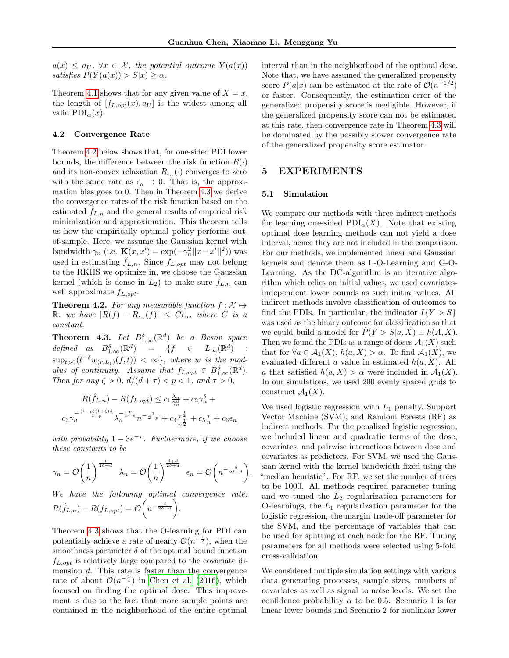.

 $a(x) \le a_U, \ \forall x \in \mathcal{X}, \ the \ potential \ outcome \ Y(a(x))$ satisfies  $P(Y(a(x)) > S|x) \ge \alpha$ .

Theorem [4.1](#page-4-1) shows that for any given value of  $X = x$ , the length of  $[f_{L, opt}(x), a_U]$  is the widest among all valid  $PDI_{\alpha}(x)$ .

### 4.2 Convergence Rate

Theorem [4.2](#page-5-0) below shows that, for one-sided PDI lower bounds, the difference between the risk function  $R(\cdot)$ and its non-convex relaxation  $R_{\epsilon_n}(\cdot)$  converges to zero with the same rate as  $\epsilon_n \to 0$ . That is, the approximation bias goes to 0. Then in Theorem [4.3](#page-5-1) we derive the convergence rates of the risk function based on the estimated  $f_{L,n}$  and the general results of empirical risk minimization and approximation. This theorem tells us how the empirically optimal policy performs outof-sample. Here, we assume the Gaussian kernel with bandwidth  $\gamma_n$  (i.e.  $\mathbf{K}(x, x') = \exp(-\gamma_n^2 ||x - x'||^2)$ ) was used in estimating  $\hat{f}_{L,n}$ . Since  $f_{L,opt}$  may not belong to the RKHS we optimize in, we choose the Gaussian kernel (which is dense in  $L_2$ ) to make sure  $f_{L,n}$  can well approximate  $f_{L,opt}$ .

<span id="page-5-0"></span>**Theorem 4.2.** For any measurable function  $f : \mathcal{X} \mapsto$  $\mathbb{R},$  we have  $|R(f) - R_{\epsilon_n}(f)| \leq C \epsilon_n$ , where C is a constant.

<span id="page-5-1"></span>**Theorem 4.3.** Let  $B_{1,\infty}^{\delta}(\mathbb{R}^d)$  be a Besov space defined as  $B_{1,\infty}^{\delta}(\mathbb{R}^d) = \{f \in L_{\infty}(\mathbb{R}^d) :$  $\sup_{t>0} (t^{-\delta}w_{(r,L_1)}(f,t)) < \infty$ , where w is the modulus of continuity. Assume that  $f_{L, opt} \in B^{\delta}_{1,\infty}(\mathbb{R}^d)$ . Then for any  $\zeta > 0$ ,  $d/(d+\tau) < p < 1$ , and  $\tau > 0$ ,

$$
R(\hat{f}_{L,n}) - R(f_{L,opt}) \le c_1 \frac{\lambda_n}{\gamma_n^d} + c_2 \gamma_n^{\delta} + c_3 \frac{(-p)(1+\zeta)d}{2-p} \lambda_n^{-\frac{p}{2-p}} n^{-\frac{1}{2-p}} + c_4 \frac{\tau^{\frac{1}{2}}}{n^{\frac{1}{2}}} + c_5 \frac{\tau}{n} + c_6 \epsilon_n
$$

with probability  $1 - 3e^{-\tau}$ . Furthermore, if we choose these constants to be

$$
\gamma_n = \mathcal{O}\left(\frac{1}{n}\right)^{\frac{1}{2\delta+d}} \quad \lambda_n = \mathcal{O}\left(\frac{1}{n}\right)^{\frac{\delta+d}{2\delta+d}} \quad \epsilon_n = \mathcal{O}\left(n^{-\frac{\delta}{2\delta+d}}\right)
$$

We have the following optimal convergence rate:  $R(\hat{f}_{L,n}) - R(f_{L,opt}) = \mathcal{O}\left(n^{-\frac{\delta}{2\delta+d}}\right).$ 

Theorem [4.3](#page-5-1) shows that the O-learning for PDI can potentially achieve a rate of nearly  $\mathcal{O}(n^{-\frac{1}{2}})$ , when the smoothness parameter  $\delta$  of the optimal bound function  $f_{L,out}$  is relatively large compared to the covariate dimension d. This rate is faster than the convergence rate of about  $\mathcal{O}(n^{-\frac{1}{4}})$  in [Chen et al.](#page-8-5) [\(2016\)](#page-8-5), which focused on finding the optimal dose. This improvement is due to the fact that more sample points are contained in the neighborhood of the entire optimal interval than in the neighborhood of the optimal dose. Note that, we have assumed the generalized propensity score  $P(a|x)$  can be estimated at the rate of  $\mathcal{O}(n^{-1/2})$ or faster. Consequently, the estimation error of the generalized propensity score is negligible. However, if the generalized propensity score can not be estimated at this rate, then convergence rate in Theorem [4.3](#page-5-1) will be dominated by the possibly slower convergence rate of the generalized propensity score estimator.

# 5 EXPERIMENTS

### <span id="page-5-2"></span>5.1 Simulation

We compare our methods with three indirect methods for learning one-sided  $PDI_{\alpha}(X)$ . Note that existing optimal dose learning methods can not yield a dose interval, hence they are not included in the comparison. For our methods, we implemented linear and Gaussian kernels and denote them as L-O-Learning and G-O-Learning. As the DC-algorithm is an iterative algorithm which relies on initial values, we used covariatesindependent lower bounds as such initial values. All indirect methods involve classification of outcomes to find the PDIs. In particular, the indicator  $I{Y > S}$ was used as the binary outcome for classification so that we could build a model for  $P(Y > S|a, X) \equiv h(A, X)$ . Then we found the PDIs as a range of doses  $\mathcal{A}_1(X)$  such that for  $\forall a \in A_1(X), h(a, X) > \alpha$ . To find  $A_1(X)$ , we evaluated different a value in estimated  $h(a, X)$ . All a that satisfied  $h(a, X) > \alpha$  were included in  $\mathcal{A}_1(X)$ . In our simulations, we used 200 evenly spaced grids to construct  $\mathcal{A}_1(X)$ .

We used logistic regression with  $L_1$  penalty, Support Vector Machine (SVM), and Random Forests (RF) as indirect methods. For the penalized logistic regression, we included linear and quadratic terms of the dose, covariates, and pairwise interactions between dose and covariates as predictors. For SVM, we used the Gaussian kernel with the kernel bandwidth fixed using the "median heuristic". For RF, we set the number of trees to be 1000. All methods required parameter tuning and we tuned the  $L_2$  regularization parameters for O-learnings, the  $L_1$  regularization parameter for the logistic regression, the margin trade-off parameter for the SVM, and the percentage of variables that can be used for splitting at each node for the RF. Tuning parameters for all methods were selected using 5-fold cross-validation.

We considered multiple simulation settings with various data generating processes, sample sizes, numbers of covariates as well as signal to noise levels. We set the confidence probability  $\alpha$  to be 0.5. Scenario 1 is for linear lower bounds and Scenario 2 for nonlinear lower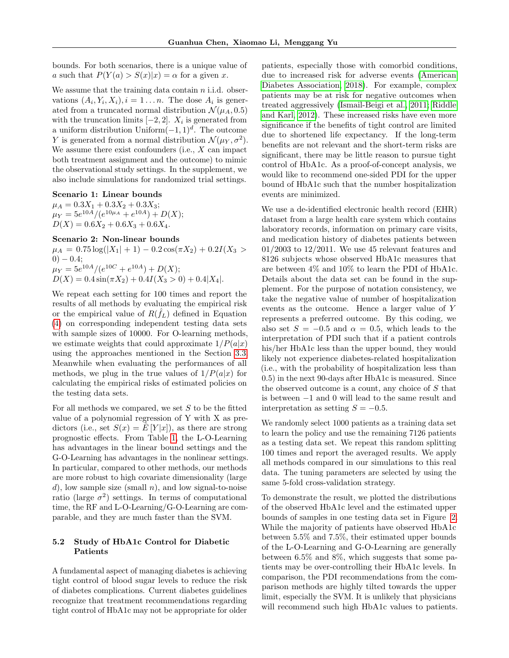bounds. For both scenarios, there is a unique value of a such that  $P(Y(a) > S(x)|x) = \alpha$  for a given x.

We assume that the training data contain  $n$  i.i.d. observations  $(A_i, Y_i, X_i), i = 1...n$ . The dose  $A_i$  is generated from a truncated normal distribution  $\mathcal{N}(\mu_A, 0.5)$ with the truncation limits  $[-2, 2]$ .  $X_i$  is generated from a uniform distribution Uniform $(-1, 1)^d$ . The outcome Y is generated from a normal distribution  $\mathcal{N}(\mu_Y, \sigma^2)$ . We assume there exist confounders (i.e.,  $X$  can impact both treatment assignment and the outcome) to mimic the observational study settings. In the supplement, we also include simulations for randomized trial settings.

Scenario 1: Linear bounds

 $\mu_A = 0.3X_1 + 0.3X_2 + 0.3X_3;$  $\mu_Y = 5e^{10A}/(e^{10\mu_A} + e^{10A}) + D(X);$  $D(X) = 0.6X_2 + 0.6X_3 + 0.6X_4.$ 

## Scenario 2: Non-linear bounds

 $\mu_A = 0.75 \log(|X_1| + 1) - 0.2 \cos(\pi X_2) + 0.2I(X_3 >$  $(0) - 0.4;$  $\mu_Y = 5e^{10A}/(e^{10C} + e^{10A}) + D(X);$  $D(X) = 0.4 \sin(\pi X_2) + 0.4I(X_3 > 0) + 0.4|X_4|.$ 

We repeat each setting for 100 times and report the results of all methods by evaluating the empirical risk or the empirical value of  $R(\hat{f}_L)$  defined in Equation [\(4\)](#page-2-2) on corresponding independent testing data sets with sample sizes of 10000. For O-learning methods, we estimate weights that could approximate  $1/P(a|x)$ using the approaches mentioned in the Section [3.3.](#page-4-2) Meanwhile when evaluating the performances of all methods, we plug in the true values of  $1/P(a|x)$  for calculating the empirical risks of estimated policies on the testing data sets.

For all methods we compared, we set  $S$  to be the fitted value of a polynomial regression of Y with X as predictors (i.e., set  $S(x) = E[Y|x]$ ), as there are strong prognostic effects. From Table [1,](#page-7-0) the L-O-Learning has advantages in the linear bound settings and the G-O-Learning has advantages in the nonlinear settings. In particular, compared to other methods, our methods are more robust to high covariate dimensionality (large  $d$ , low sample size (small n), and low signal-to-noise ratio (large  $\sigma^2$ ) settings. In terms of computational time, the RF and L-O-Learning/G-O-Learning are comparable, and they are much faster than the SVM.

## <span id="page-6-0"></span>5.2 Study of HbA1c Control for Diabetic Patients

A fundamental aspect of managing diabetes is achieving tight control of blood sugar levels to reduce the risk of diabetes complications. Current diabetes guidelines recognize that treatment recommendations regarding tight control of HbA1c may not be appropriate for older patients, especially those with comorbid conditions, due to increased risk for adverse events [\(American](#page-8-12) [Diabetes Association, 2018\)](#page-8-12). For example, complex patients may be at risk for negative outcomes when treated aggressively [\(Ismail-Beigi et al., 2011;](#page-9-21) [Riddle](#page-9-22) [and Karl, 2012\)](#page-9-22). These increased risks have even more significance if the benefits of tight control are limited due to shortened life expectancy. If the long-term benefits are not relevant and the short-term risks are significant, there may be little reason to pursue tight control of HbA1c. As a proof-of-concept analysis, we would like to recommend one-sided PDI for the upper bound of HbA1c such that the number hospitalization events are minimized.

We use a de-identified electronic health record (EHR) dataset from a large health care system which contains laboratory records, information on primary care visits, and medication history of diabetes patients between  $01/2003$  to  $12/2011$ . We use 45 relevant features and 8126 subjects whose observed HbA1c measures that are between 4% and 10% to learn the PDI of HbA1c. Details about the data set can be found in the supplement. For the purpose of notation consistency, we take the negative value of number of hospitalization events as the outcome. Hence a larger value of Y represents a preferred outcome. By this coding, we also set  $S = -0.5$  and  $\alpha = 0.5$ , which leads to the interpretation of PDI such that if a patient controls his/her HbA1c less than the upper bound, they would likely not experience diabetes-related hospitalization (i.e., with the probability of hospitalization less than 0.5) in the next 90-days after HbA1c is measured. Since the observed outcome is a count, any choice of S that is between −1 and 0 will lead to the same result and interpretation as setting  $S = -0.5$ .

We randomly select 1000 patients as a training data set to learn the policy and use the remaining 7126 patients as a testing data set. We repeat this random splitting 100 times and report the averaged results. We apply all methods compared in our simulations to this real data. The tuning parameters are selected by using the same 5-fold cross-validation strategy.

To demonstrate the result, we plotted the distributions of the observed HbA1c level and the estimated upper bounds of samples in one testing data set in Figure [2.](#page-8-13) While the majority of patients have observed HbA1c between 5.5% and 7.5%, their estimated upper bounds of the L-O-Learning and G-O-Learning are generally between 6.5% and 8%, which suggests that some patients may be over-controlling their HbA1c levels. In comparison, the PDI recommendations from the comparison methods are highly tilted towards the upper limit, especially the SVM. It is unlikely that physicians will recommend such high HbA1c values to patients.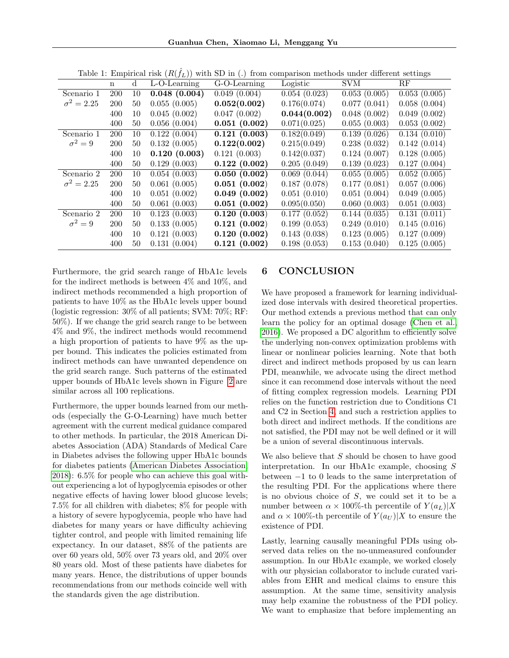|                   | rable 1. Empirical risk $\{I\cup I\}$ with $D$ in $\cup$ riom comparison meanods and a uncrease settings |             |                 |              |              |              |              |  |
|-------------------|----------------------------------------------------------------------------------------------------------|-------------|-----------------|--------------|--------------|--------------|--------------|--|
|                   | $\mathbf n$                                                                                              | $\mathbf d$ | $L-O$ -Learning | G-O-Learning | Logistic     | <b>SVM</b>   | RF           |  |
| Scenario 1        | <b>200</b>                                                                                               | 10          | 0.048(0.004)    | 0.049(0.004) | 0.054(0.023) | 0.053(0.005) | 0.053(0.005) |  |
| $\sigma^2 = 2.25$ | <b>200</b>                                                                                               | 50          | 0.055(0.005)    | 0.052(0.002) | 0.176(0.074) | 0.077(0.041) | 0.058(0.004) |  |
|                   | 400                                                                                                      | 10          | 0.045(0.002)    | 0.047(0.002) | 0.044(0.002) | 0.048(0.002) | 0.049(0.002) |  |
|                   | 400                                                                                                      | 50          | 0.056(0.004)    | 0.051(0.002) | 0.071(0.025) | 0.055(0.003) | 0.053(0.002) |  |
| Scenario 1        | <b>200</b>                                                                                               | 10          | 0.122(0.004)    | 0.121(0.003) | 0.182(0.049) | 0.139(0.026) | 0.134(0.010) |  |
| $\sigma^2=9$      | 200                                                                                                      | 50          | 0.132(0.005)    | 0.122(0.002) | 0.215(0.049) | 0.238(0.032) | 0.142(0.014) |  |
|                   | 400                                                                                                      | 10          | 0.120(0.003)    | 0.121(0.003) | 0.142(0.037) | 0.124(0.007) | 0.128(0.005) |  |
|                   | 400                                                                                                      | 50          | 0.129(0.003)    | 0.122(0.002) | 0.205(0.049) | 0.139(0.023) | 0.127(0.004) |  |
| Scenario 2        | <b>200</b>                                                                                               | 10          | 0.054(0.003)    | 0.050(0.002) | 0.069(0.044) | 0.055(0.005) | 0.052(0.005) |  |
| $\sigma^2 = 2.25$ | <b>200</b>                                                                                               | 50          | 0.061(0.005)    | 0.051(0.002) | 0.187(0.078) | 0.177(0.081) | 0.057(0.006) |  |
|                   | 400                                                                                                      | 10          | 0.051(0.002)    | 0.049(0.002) | 0.051(0.010) | 0.051(0.004) | 0.049(0.005) |  |
|                   | 400                                                                                                      | 50          | 0.061(0.003)    | 0.051(0.002) | 0.095(0.050) | 0.060(0.003) | 0.051(0.003) |  |
| Scenario 2        | <b>200</b>                                                                                               | 10          | 0.123(0.003)    | 0.120(0.003) | 0.177(0.052) | 0.144(0.035) | 0.131(0.011) |  |
| $\sigma^2=9$      | <b>200</b>                                                                                               | 50          | 0.133(0.005)    | 0.121(0.002) | 0.199(0.053) | 0.249(0.010) | 0.145(0.016) |  |
|                   | 400                                                                                                      | 10          | 0.121(0.003)    | 0.120(0.002) | 0.143(0.038) | 0.123(0.005) | 0.127(0.009) |  |
|                   | 400                                                                                                      | 50          | 0.131(0.004)    | 0.121(0.002) | 0.198(0.053) | 0.153(0.040) | 0.125(0.005) |  |

<span id="page-7-0"></span>Table 1: Empirical risk  $(R(\hat{f}_L))$  with SD in (.) from comparison methods under different settings

Furthermore, the grid search range of HbA1c levels for the indirect methods is between 4% and 10%, and indirect methods recommended a high proportion of patients to have 10% as the HbA1c levels upper bound (logistic regression: 30% of all patients; SVM: 70%; RF: 50%). If we change the grid search range to be between 4% and 9%, the indirect methods would recommend a high proportion of patients to have 9% as the upper bound. This indicates the policies estimated from indirect methods can have unwanted dependence on the grid search range. Such patterns of the estimated upper bounds of HbA1c levels shown in Figure [2](#page-8-13) are similar across all 100 replications.

Furthermore, the upper bounds learned from our methods (especially the G-O-Learning) have much better agreement with the current medical guidance compared to other methods. In particular, the 2018 American Diabetes Association (ADA) Standards of Medical Care in Diabetes advises the following upper HbA1c bounds for diabetes patients [\(American Diabetes Association,](#page-8-12) [2018\)](#page-8-12): 6.5% for people who can achieve this goal without experiencing a lot of hypoglycemia episodes or other negative effects of having lower blood glucose levels; 7.5% for all children with diabetes; 8% for people with a history of severe hypoglycemia, people who have had diabetes for many years or have difficulty achieving tighter control, and people with limited remaining life expectancy. In our dataset, 88% of the patients are over 60 years old, 50% over 73 years old, and 20% over 80 years old. Most of these patients have diabetes for many years. Hence, the distributions of upper bounds recommendations from our methods coincide well with the standards given the age distribution.

# 6 CONCLUSION

We have proposed a framework for learning individualized dose intervals with desired theoretical properties. Our method extends a previous method that can only learn the policy for an optimal dosage [\(Chen et al.,](#page-8-5) [2016\)](#page-8-5). We proposed a DC algorithm to efficiently solve the underlying non-convex optimization problems with linear or nonlinear policies learning. Note that both direct and indirect methods proposed by us can learn PDI, meanwhile, we advocate using the direct method since it can recommend dose intervals without the need of fitting complex regression models. Learning PDI relies on the function restriction due to Conditions C1 and C2 in Section [4,](#page-4-0) and such a restriction applies to both direct and indirect methods. If the conditions are not satisfied, the PDI may not be well defined or it will be a union of several discontinuous intervals.

We also believe that  $S$  should be chosen to have good interpretation. In our HbA1c example, choosing S between −1 to 0 leads to the same interpretation of the resulting PDI. For the applications where there is no obvious choice of  $S$ , we could set it to be a number between  $\alpha \times 100\%$ -th percentile of  $Y(a_L)|X|$ and  $\alpha \times 100\%$ -th percentile of  $Y(a_U)|X$  to ensure the existence of PDI.

Lastly, learning causally meaningful PDIs using observed data relies on the no-unmeasured confounder assumption. In our HbA1c example, we worked closely with our physician collaborator to include curated variables from EHR and medical claims to ensure this assumption. At the same time, sensitivity analysis may help examine the robustness of the PDI policy. We want to emphasize that before implementing an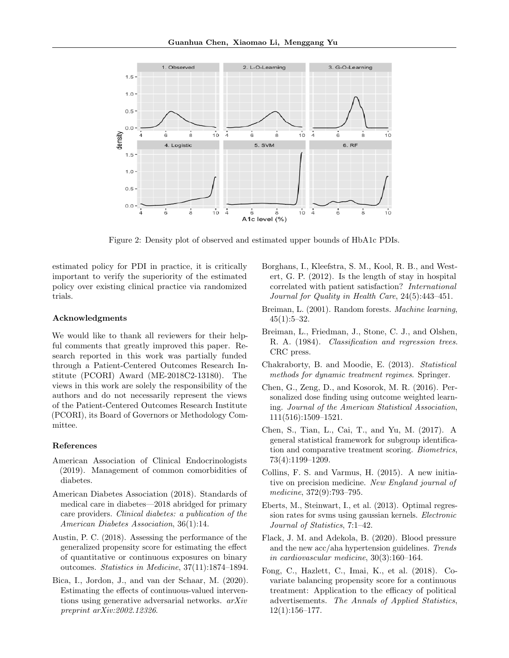

<span id="page-8-13"></span>Figure 2: Density plot of observed and estimated upper bounds of HbA1c PDIs.

estimated policy for PDI in practice, it is critically important to verify the superiority of the estimated policy over existing clinical practice via randomized trials.

#### Acknowledgments

We would like to thank all reviewers for their helpful comments that greatly improved this paper. Research reported in this work was partially funded through a Patient-Centered Outcomes Research Institute (PCORI) Award (ME-2018C2-13180). The views in this work are solely the responsibility of the authors and do not necessarily represent the views of the Patient-Centered Outcomes Research Institute (PCORI), its Board of Governors or Methodology Committee.

## References

- <span id="page-8-3"></span>American Association of Clinical Endocrinologists (2019). Management of common comorbidities of diabetes.
- <span id="page-8-12"></span>American Diabetes Association (2018). Standards of medical care in diabetes—2018 abridged for primary care providers. Clinical diabetes: a publication of the American Diabetes Association, 36(1):14.
- <span id="page-8-10"></span>Austin, P. C. (2018). Assessing the performance of the generalized propensity score for estimating the effect of quantitative or continuous exposures on binary outcomes. Statistics in Medicine, 37(11):1874–1894.
- <span id="page-8-9"></span>Bica, I., Jordon, J., and van der Schaar, M. (2020). Estimating the effects of continuous-valued interventions using generative adversarial networks. arXiv preprint arXiv:2002.12326.
- <span id="page-8-2"></span>Borghans, I., Kleefstra, S. M., Kool, R. B., and Westert, G. P. (2012). Is the length of stay in hospital correlated with patient satisfaction? International Journal for Quality in Health Care, 24(5):443–451.
- <span id="page-8-8"></span>Breiman, L. (2001). Random forests. Machine learning,  $45(1):5-32.$
- <span id="page-8-7"></span>Breiman, L., Friedman, J., Stone, C. J., and Olshen, R. A. (1984). Classification and regression trees. CRC press.
- <span id="page-8-6"></span>Chakraborty, B. and Moodie, E. (2013). Statistical methods for dynamic treatment regimes. Springer.
- <span id="page-8-5"></span>Chen, G., Zeng, D., and Kosorok, M. R. (2016). Personalized dose finding using outcome weighted learning. Journal of the American Statistical Association, 111(516):1509–1521.
- <span id="page-8-1"></span>Chen, S., Tian, L., Cai, T., and Yu, M. (2017). A general statistical framework for subgroup identification and comparative treatment scoring. Biometrics, 73(4):1199–1209.
- <span id="page-8-0"></span>Collins, F. S. and Varmus, H. (2015). A new initiative on precision medicine. New England journal of medicine, 372(9):793–795.
- <span id="page-8-14"></span>Eberts, M., Steinwart, I., et al. (2013). Optimal regression rates for svms using gaussian kernels. Electronic Journal of Statistics, 7:1–42.
- <span id="page-8-4"></span>Flack, J. M. and Adekola, B. (2020). Blood pressure and the new acc/aha hypertension guidelines. Trends in cardiovascular medicine, 30(3):160–164.
- <span id="page-8-11"></span>Fong, C., Hazlett, C., Imai, K., et al. (2018). Covariate balancing propensity score for a continuous treatment: Application to the efficacy of political advertisements. The Annals of Applied Statistics,  $12(1):156-177.$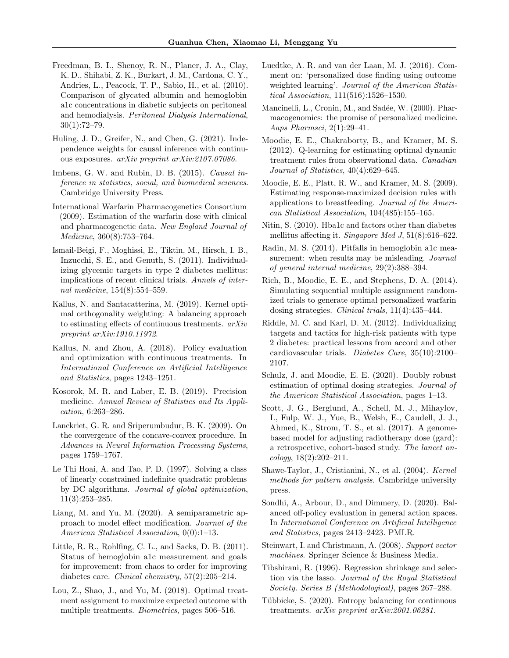- <span id="page-9-27"></span>Freedman, B. I., Shenoy, R. N., Planer, J. A., Clay, K. D., Shihabi, Z. K., Burkart, J. M., Cardona, C. Y., Andries, L., Peacock, T. P., Sabio, H., et al. (2010). Comparison of glycated albumin and hemoglobin a1c concentrations in diabetic subjects on peritoneal and hemodialysis. Peritoneal Dialysis International,  $30(1):72-79.$
- <span id="page-9-20"></span>Huling, J. D., Greifer, N., and Chen, G. (2021). Independence weights for causal inference with continuous exposures. arXiv preprint arXiv:2107.07086.
- <span id="page-9-7"></span>Imbens, G. W. and Rubin, D. B. (2015). Causal inference in statistics, social, and biomedical sciences. Cambridge University Press.
- <span id="page-9-4"></span>International Warfarin Pharmacogenetics Consortium (2009). Estimation of the warfarin dose with clinical and pharmacogenetic data. New England Journal of Medicine, 360(8):753–764.
- <span id="page-9-21"></span>Ismail-Beigi, F., Moghissi, E., Tiktin, M., Hirsch, I. B., Inzucchi, S. E., and Genuth, S. (2011). Individualizing glycemic targets in type 2 diabetes mellitus: implications of recent clinical trials. Annals of internal medicine, 154(8):554–559.
- <span id="page-9-18"></span>Kallus, N. and Santacatterina, M. (2019). Kernel optimal orthogonality weighting: A balancing approach to estimating effects of continuous treatments. arXiv preprint arXiv:1910.11972.
- <span id="page-9-12"></span>Kallus, N. and Zhou, A. (2018). Policy evaluation and optimization with continuous treatments. In International Conference on Artificial Intelligence and Statistics, pages 1243–1251.
- <span id="page-9-3"></span>Kosorok, M. R. and Laber, E. B. (2019). Precision medicine. Annual Review of Statistics and Its Application, 6:263–286.
- <span id="page-9-17"></span>Lanckriet, G. R. and Sriperumbudur, B. K. (2009). On the convergence of the concave-convex procedure. In Advances in Neural Information Processing Systems, pages 1759–1767.
- <span id="page-9-16"></span>Le Thi Hoai, A. and Tao, P. D. (1997). Solving a class of linearly constrained indefinite quadratic problems by DC algorithms. Journal of global optimization, 11(3):253–285.
- <span id="page-9-1"></span>Liang, M. and Yu, M. (2020). A semiparametric approach to model effect modification. Journal of the American Statistical Association, 0(0):1–13.
- <span id="page-9-24"></span>Little, R. R., Rohlfing, C. L., and Sacks, D. B. (2011). Status of hemoglobin a1c measurement and goals for improvement: from chaos to order for improving diabetes care. Clinical chemistry, 57(2):205–214.
- <span id="page-9-2"></span>Lou, Z., Shao, J., and Yu, M. (2018). Optimal treatment assignment to maximize expected outcome with multiple treatments. Biometrics, pages 506–516.
- <span id="page-9-23"></span>Luedtke, A. R. and van der Laan, M. J. (2016). Comment on: 'personalized dose finding using outcome weighted learning'. Journal of the American Statistical Association, 111(516):1526–1530.
- <span id="page-9-0"></span>Mancinelli, L., Cronin, M., and Sadée, W. (2000). Pharmacogenomics: the promise of personalized medicine. Aaps Pharmsci, 2(1):29–41.
- <span id="page-9-8"></span>Moodie, E. E., Chakraborty, B., and Kramer, M. S. (2012). Q-learning for estimating optimal dynamic treatment rules from observational data. Canadian Journal of Statistics, 40(4):629–645.
- <span id="page-9-11"></span>Moodie, E. E., Platt, R. W., and Kramer, M. S. (2009). Estimating response-maximized decision rules with applications to breastfeeding. Journal of the American Statistical Association, 104(485):155–165.
- <span id="page-9-26"></span>Nitin, S. (2010). Hba1c and factors other than diabetes mellitus affecting it. Singapore Med J, 51(8):616–622.
- <span id="page-9-25"></span>Radin, M. S. (2014). Pitfalls in hemoglobin a1c measurement: when results may be misleading. *Journal* of general internal medicine, 29(2):388–394.
- <span id="page-9-5"></span>Rich, B., Moodie, E. E., and Stephens, D. A. (2014). Simulating sequential multiple assignment randomized trials to generate optimal personalized warfarin dosing strategies. Clinical trials, 11(4):435–444.
- <span id="page-9-22"></span>Riddle, M. C. and Karl, D. M. (2012). Individualizing targets and tactics for high-risk patients with type 2 diabetes: practical lessons from accord and other cardiovascular trials. Diabetes Care, 35(10):2100– 2107.
- <span id="page-9-14"></span>Schulz, J. and Moodie, E. E. (2020). Doubly robust estimation of optimal dosing strategies. Journal of the American Statistical Association, pages 1–13.
- <span id="page-9-6"></span>Scott, J. G., Berglund, A., Schell, M. J., Mihaylov, I., Fulp, W. J., Yue, B., Welsh, E., Caudell, J. J., Ahmed, K., Strom, T. S., et al. (2017). A genomebased model for adjusting radiotherapy dose (gard): a retrospective, cohort-based study. The lancet on- $\{coloqu, 18(2):202-211.\}$
- <span id="page-9-15"></span>Shawe-Taylor, J., Cristianini, N., et al. (2004). Kernel methods for pattern analysis. Cambridge university press.
- <span id="page-9-13"></span>Sondhi, A., Arbour, D., and Dimmery, D. (2020). Balanced off-policy evaluation in general action spaces. In International Conference on Artificial Intelligence and Statistics, pages 2413–2423. PMLR.
- <span id="page-9-10"></span>Steinwart, I. and Christmann, A. (2008). Support vector machines. Springer Science & Business Media.
- <span id="page-9-9"></span>Tibshirani, R. (1996). Regression shrinkage and selection via the lasso. Journal of the Royal Statistical Society. Series B (Methodological), pages 267–288.
- <span id="page-9-19"></span>Tübbicke, S. (2020). Entropy balancing for continuous treatments. arXiv preprint arXiv:2001.06281.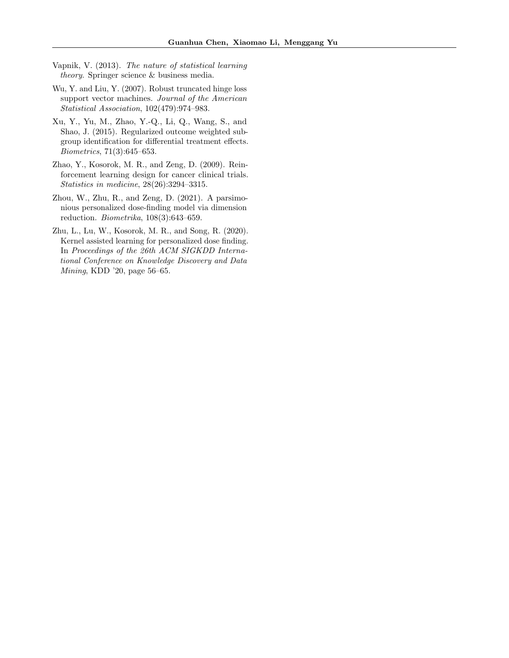- <span id="page-10-1"></span>Vapnik, V. (2013). The nature of statistical learning theory. Springer science & business media.
- <span id="page-10-5"></span>Wu, Y. and Liu, Y. (2007). Robust truncated hinge loss support vector machines. Journal of the American Statistical Association, 102(479):974–983.
- <span id="page-10-2"></span>Xu, Y., Yu, M., Zhao, Y.-Q., Li, Q., Wang, S., and Shao, J. (2015). Regularized outcome weighted subgroup identification for differential treatment effects. Biometrics, 71(3):645–653.
- <span id="page-10-0"></span>Zhao, Y., Kosorok, M. R., and Zeng, D. (2009). Reinforcement learning design for cancer clinical trials. Statistics in medicine, 28(26):3294–3315.
- <span id="page-10-4"></span>Zhou, W., Zhu, R., and Zeng, D. (2021). A parsimonious personalized dose-finding model via dimension reduction. Biometrika, 108(3):643–659.
- <span id="page-10-3"></span>Zhu, L., Lu, W., Kosorok, M. R., and Song, R. (2020). Kernel assisted learning for personalized dose finding. In Proceedings of the 26th ACM SIGKDD International Conference on Knowledge Discovery and Data Mining, KDD '20, page 56–65.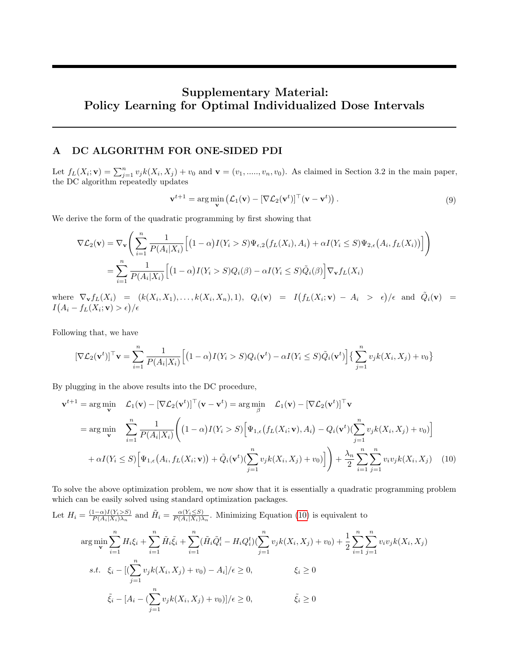# Supplementary Material: Policy Learning for Optimal Individualized Dose Intervals

# A DC ALGORITHM FOR ONE-SIDED PDI

Let  $f_L(X_i; \mathbf{v}) = \sum_{j=1}^n v_j k(X_i, X_j) + v_0$  and  $\mathbf{v} = (v_1, \dots, v_n, v_0)$ . As claimed in Section 3.2 in the main paper, the DC algorithm repeatedly updates

$$
\mathbf{v}^{t+1} = \arg\min_{\mathbf{v}} \left( \mathcal{L}_1(\mathbf{v}) - [\nabla \mathcal{L}_2(\mathbf{v}^t)]^\top (\mathbf{v} - \mathbf{v}^t) \right). \tag{9}
$$

We derive the form of the quadratic programming by first showing that

<span id="page-11-0"></span>
$$
\nabla \mathcal{L}_2(\mathbf{v}) = \nabla_{\mathbf{v}} \Bigg( \sum_{i=1}^n \frac{1}{P(A_i|X_i)} \Big[ (1-\alpha)I(Y_i > S)\Psi_{\epsilon,2}\big(f_L(X_i), A_i\big) + \alpha I(Y_i \leq S)\Psi_{2,\epsilon}\big(A_i, f_L(X_i)\big) \Big] \Bigg)
$$
\n
$$
= \sum_{i=1}^n \frac{1}{P(A_i|X_i)} \Big[ (1-\alpha)I(Y_i > S)Q_i(\beta) - \alpha I(Y_i \leq S)\tilde{Q}_i(\beta) \Big] \nabla_{\mathbf{v}} f_L(X_i)
$$

where  $\nabla_{\mathbf{v}} f_L(X_i) = (k(X_i, X_1), \dots, k(X_i, X_n), 1), Q_i(\mathbf{v}) = I(f_L(X_i; \mathbf{v}) - A_i > \epsilon)/\epsilon$  and  $\tilde{Q}_i(\mathbf{v}) =$  $I\big(A_i - f_L(X_i;\mathbf{v}) > \epsilon\big)/\epsilon$ 

Following that, we have

$$
[\nabla \mathcal{L}_2(\mathbf{v}^t)]^\top \mathbf{v} = \sum_{i=1}^n \frac{1}{P(A_i|X_i)} \Big[ (1-\alpha)I(Y_i > S)Q_i(\mathbf{v}^t) - \alpha I(Y_i \le S)\tilde{Q}_i(\mathbf{v}^t) \Big] \Big\{ \sum_{j=1}^n v_j k(X_i, X_j) + v_0 \Big\}
$$

By plugging in the above results into the DC procedure,

$$
\mathbf{v}^{t+1} = \arg\min_{\mathbf{v}} \quad \mathcal{L}_1(\mathbf{v}) - [\nabla \mathcal{L}_2(\mathbf{v}^t)]^\top (\mathbf{v} - \mathbf{v}^t) = \arg\min_{\beta} \quad \mathcal{L}_1(\mathbf{v}) - [\nabla \mathcal{L}_2(\mathbf{v}^t)]^\top \mathbf{v}
$$
  
\n
$$
= \arg\min_{\mathbf{v}} \quad \sum_{i=1}^n \frac{1}{P(A_i|X_i)} \Bigg( (1-\alpha)I(Y_i > S) \Big[ \Psi_{1,\epsilon}(f_L(X_i; \mathbf{v}), A_i) - Q_i(\mathbf{v}^t) (\sum_{j=1}^n v_j k(X_i, X_j) + v_0) \Big] + \alpha I(Y_i \le S) \Big[ \Psi_{1,\epsilon}(A_i, f_L(X_i; \mathbf{v})) + \tilde{Q}_i(\mathbf{v}^t) (\sum_{j=1}^n v_j k(X_i, X_j) + v_0) \Big] \Bigg) + \frac{\lambda_n}{2} \sum_{i=1}^n \sum_{j=1}^n v_i v_j k(X_i, X_j) \tag{10}
$$

To solve the above optimization problem, we now show that it is essentially a quadratic programming problem which can be easily solved using standard optimization packages.

Let 
$$
H_i = \frac{(1-\alpha)I(Y_i \geq S)}{P(A_i|X_i)\lambda_n}
$$
 and  $\tilde{H}_i = \frac{\alpha(Y_i \leq S)}{P(A_i|X_i)\lambda_n}$ . Minimizing Equation (10) is equivalent to  $\arg\min_{\mathbf{v}} \sum_{i=1}^n H_i \xi_i + \sum_{i=1}^n \tilde{H}_i \tilde{\xi}_i + \sum_{i=1}^n (\tilde{H}_i \tilde{Q}_i^t - H_i Q_i^t) (\sum_{j=1}^n v_j k(X_i, X_j) + v_0) + \frac{1}{2} \sum_{i=1}^n \sum_{j=1}^n v_i v_j k(X_i, X_j)$   $s.t.$   $\xi_i - [(\sum_{j=1}^n v_j k(X_i, X_j) + v_0) - A_i]/\epsilon \geq 0, \qquad \xi_i \geq 0$   $\tilde{\xi}_i - [A_i - (\sum_{j=1}^n v_j k(X_i, X_j) + v_0)]/\epsilon \geq 0, \qquad \tilde{\xi}_i \geq 0$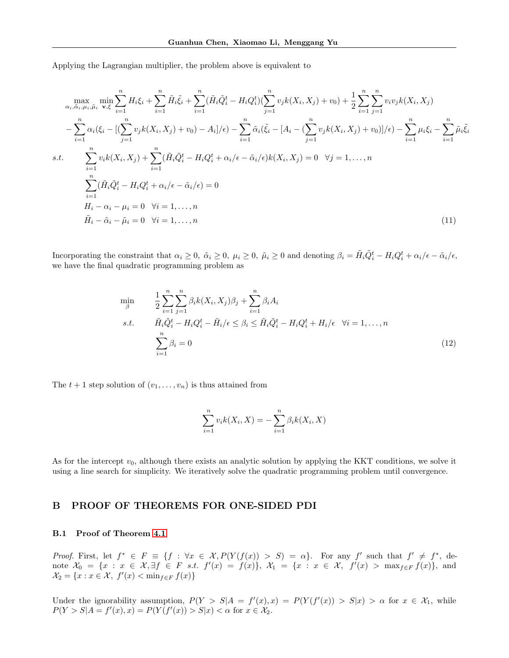Applying the Lagrangian multiplier, the problem above is equivalent to

$$
\max_{\alpha_i, \tilde{\alpha}_i, \mu_i, \tilde{\mu}_i} \min_{\mathbf{v}, \xi} \sum_{i=1}^n H_i \xi_i + \sum_{i=1}^n \tilde{H}_i \tilde{\xi}_i + \sum_{i=1}^n (\tilde{H}_i \tilde{Q}_i^t - H_i Q_i^t) (\sum_{j=1}^n v_j k(X_i, X_j) + v_0) + \frac{1}{2} \sum_{i=1}^n \sum_{j=1}^n v_i v_j k(X_i, X_j) \n- \sum_{i=1}^n \alpha_i (\xi_i - [(\sum_{j=1}^n v_j k(X_i, X_j) + v_0) - A_i]/\epsilon) - \sum_{i=1}^n \tilde{\alpha}_i (\tilde{\xi}_i - [A_i - (\sum_{j=1}^n v_j k(X_i, X_j) + v_0)]/\epsilon) - \sum_{i=1}^n \mu_i \xi_i - \sum_{i=1}^n \tilde{\mu}_i \tilde{\xi}_i \ns.t. \sum_{i=1}^n v_i k(X_i, X_j) + \sum_{i=1}^n (\tilde{H}_i \tilde{Q}_i^t - H_i Q_i^t + \alpha_i / \epsilon - \tilde{\alpha}_i / \epsilon) k(X_i, X_j) = 0 \quad \forall j = 1, ..., n
$$
\n
$$
\sum_{i=1}^n (\tilde{H}_i \tilde{Q}_i^t - H_i Q_i^t + \alpha_i / \epsilon - \tilde{\alpha}_i / \epsilon) = 0
$$
\n
$$
H_i - \alpha_i - \mu_i = 0 \quad \forall i = 1, ..., n
$$
\n
$$
\tilde{H}_i - \tilde{\alpha}_i - \tilde{\mu}_i = 0 \quad \forall i = 1, ..., n
$$
\n(11)

Incorporating the constraint that  $\alpha_i \geq 0$ ,  $\tilde{\alpha}_i \geq 0$ ,  $\mu_i \geq 0$ ,  $\tilde{\mu}_i \geq 0$  and denoting  $\beta_i = \tilde{H}_i \tilde{Q}_i^t - H_i Q_i^t + \alpha_i / \epsilon - \tilde{\alpha}_i / \epsilon$ , we have the final quadratic programming problem as

$$
\min_{\beta} \qquad \frac{1}{2} \sum_{i=1}^{n} \sum_{j=1}^{n} \beta_i k(X_i, X_j) \beta_j + \sum_{i=1}^{n} \beta_i A_i
$$
\n
$$
s.t. \qquad \tilde{H}_i \tilde{Q}_i^t - H_i Q_i^t - \tilde{H}_i / \epsilon \leq \beta_i \leq \tilde{H}_i \tilde{Q}_i^t - H_i Q_i^t + H_i / \epsilon \quad \forall i = 1, \dots, n
$$
\n
$$
\sum_{i=1}^{n} \beta_i = 0
$$
\n(12)

The  $t + 1$  step solution of  $(v_1, \ldots, v_n)$  is thus attained from

$$
\sum_{i=1}^{n} v_i k(X_i, X) = -\sum_{i=1}^{n} \beta_i k(X_i, X)
$$

As for the intercept  $v_0$ , although there exists an analytic solution by applying the KKT conditions, we solve it using a line search for simplicity. We iteratively solve the quadratic programming problem until convergence.

## B PROOF OF THEOREMS FOR ONE-SIDED PDI

## B.1 Proof of Theorem [4.1](#page-4-1)

Proof. First, let  $f^* \in F \equiv \{f : \forall x \in \mathcal{X}, P(Y(f(x)) > S) = \alpha\}$ . For any f' such that  $f' \neq f^*$ , denote  $\mathcal{X}_0 = \{x : x \in \mathcal{X}, \exists f \in F \text{ s.t. } f'(x) = f(x)\}, \ \mathcal{X}_1 = \{x : x \in \mathcal{X}, \ f'(x) > \max_{f \in F} f(x)\}, \text{ and}$  $\mathcal{X}_2 = \{x : x \in \mathcal{X}, f'(x) < \min_{f \in F} f(x)\}\$ 

Under the ignorability assumption,  $P(Y > S | A = f'(x), x) = P(Y(f'(x)) > S | x) > \alpha$  for  $x \in \mathcal{X}_1$ , while  $P(Y > S | A = f'(x), x) = P(Y(f'(x)) > S | x) < \alpha$  for  $x \in \mathcal{X}_2$ .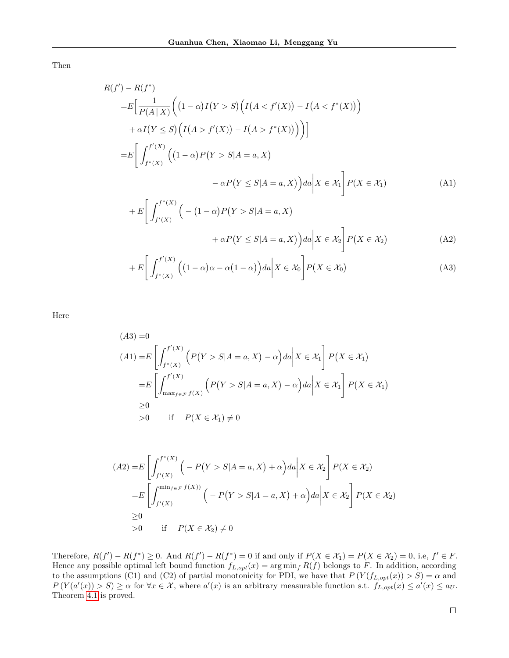Then

$$
R(f') - R(f^*)
$$
  
\n
$$
= E\Big[\frac{1}{P(A|X)} \Big((1-\alpha)I(Y>S)\Big(I(A < f'(X)) - I(A < f^*(X))\Big)
$$
  
\n
$$
+ \alpha I(Y \le S)\Big(I(A > f'(X)) - I(A > f^*(X))\Big)\Big)\Big]
$$
  
\n
$$
= E\Big[\int_{f^*(X)}^{f'(X)} \Big((1-\alpha)P(Y>S|A=a, X)\Big)
$$
  
\n
$$
- \alpha P(Y \le S|A=a, X)\Big) da\Big| X \in \mathcal{X}_1\Big] P(X \in \mathcal{X}_1)
$$
  
\n
$$
+ E\Big[\int_{f^*(X)}^{f^*(X)} \Big(-(1-\alpha)P(Y>S|A=a, X)\Big)\Big]
$$
(A1)

$$
+ E\left[\int_{f'(X)}^{f''(X)} \left(-(1-\alpha)P(Y>S|A=a,X)\right) d\alpha\middle| X \in \mathcal{X}_2\right] P(X \in \mathcal{X}_2)
$$
\n
$$
+ \alpha P(Y \leq S|A=a,X)\Big) da\Big| X \in \mathcal{X}_2 \Bigg] P(X \in \mathcal{X}_2)
$$
\n(A2)

$$
+ E\left[\int_{f^*(X)}^{f'(X)} \left((1-\alpha)\alpha - \alpha(1-\alpha)\right) da \middle| X \in \mathcal{X}_0\right] P\left(X \in \mathcal{X}_0\right) \tag{A3}
$$

Here

$$
(A3) = 0
$$
  
\n
$$
(A1) = E\left[\int_{f^*(X)}^{f'(X)} \left(P(Y > S | A = a, X) - \alpha\right) da \middle| X \in \mathcal{X}_1\right] P(X \in \mathcal{X}_1)
$$
  
\n
$$
= E\left[\int_{\max_{f \in \mathcal{F}} f(X)}^{f'(X)} \left(P(Y > S | A = a, X) - \alpha\right) da \middle| X \in \mathcal{X}_1\right] P(X \in \mathcal{X}_1)
$$
  
\n
$$
\geq 0
$$
  
\n
$$
> 0 \quad \text{if} \quad P(X \in \mathcal{X}_1) \neq 0
$$

$$
(A2) = E\left[\int_{f'(X)}^{f^*(X)} \left(-P(Y > S | A = a, X) + \alpha\right) da \middle| X \in \mathcal{X}_2\right] P(X \in \mathcal{X}_2)
$$
  
\n
$$
= E\left[\int_{f'(X)}^{\min_{f \in \mathcal{F}} f(X)} \left(-P(Y > S | A = a, X) + \alpha\right) da \middle| X \in \mathcal{X}_2\right] P(X \in \mathcal{X}_2)
$$
  
\n
$$
\geq 0
$$
  
\n
$$
> 0 \quad \text{if} \quad P(X \in \mathcal{X}_2) \neq 0
$$

Therefore,  $R(f') - R(f^*) \ge 0$ . And  $R(f') - R(f^*) = 0$  if and only if  $P(X \in \mathcal{X}_1) = P(X \in \mathcal{X}_2) = 0$ , i.e,  $f' \in F$ . Hence any possible optimal left bound function  $f_{L, opt}(x) = \arg \min_f R(f)$  belongs to F. In addition, according to the assumptions (C1) and (C2) of partial monotonicity for PDI, we have that  $P(Y(f_{L, opt}(x)) > S) = \alpha$  and  $P(Y(a'(x)) > S) \ge \alpha$  for  $\forall x \in \mathcal{X}$ , where  $a'(x)$  is an arbitrary measurable function s.t.  $f_{L, opt}(x) \le a'(x) \le a_U$ . Theorem [4.1](#page-4-1) is proved.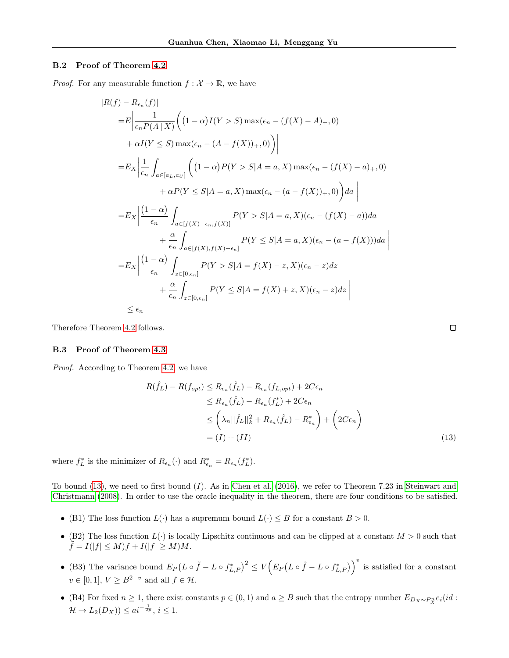### B.2 Proof of Theorem [4.2](#page-5-0)

*Proof.* For any measurable function  $f: \mathcal{X} \to \mathbb{R}$ , we have

$$
|R(f) - R_{\epsilon_n}(f)|
$$
  
\n
$$
= E \left| \frac{1}{\epsilon_n P(A \mid X)} \left( (1 - \alpha) I(Y > S) \max(\epsilon_n - (f(X) - A)_+, 0) \right) + \alpha I(Y \le S) \max(\epsilon_n - (A - f(X))_+, 0) \right) \right|
$$
  
\n
$$
= E_X \left| \frac{1}{\epsilon_n} \int_{a \in [a_L, a_U]} \left( (1 - \alpha) P(Y > S | A = a, X) \max(\epsilon_n - (f(X) - a)_+, 0) + \alpha P(Y \le S | A = a, X) \max(\epsilon_n - (a - f(X))_+, 0) \right) da \right|
$$
  
\n
$$
= E_X \left| \frac{(1 - \alpha)}{\epsilon_n} \int_{a \in [f(X) - \epsilon_n, f(X)]} P(Y > S | A = a, X) (\epsilon_n - (f(X) - a)) da + \frac{\alpha}{\epsilon_n} \int_{a \in [f(X), f(X) + \epsilon_n]} P(Y \le S | A = a, X) (\epsilon_n - (a - f(X))) da \right|
$$
  
\n
$$
= E_X \left| \frac{(1 - \alpha)}{\epsilon_n} \int_{x \in [0, \epsilon_n]} P(Y > S | A = f(X) - z, X) (\epsilon_n - z) dz + \frac{\alpha}{\epsilon_n} \int_{x \in [0, \epsilon_n]} P(Y \le S | A = f(X) + z, X) (\epsilon_n - z) dz \right|
$$
  
\n
$$
\le \epsilon_n
$$

Therefore Theorem [4.2](#page-5-0) follows.

### B.3 Proof of Theorem [4.3](#page-5-1)

Proof. According to Theorem [4.2,](#page-5-0) we have

$$
R(\hat{f}_L) - R(f_{opt}) \le R_{\epsilon_n}(\hat{f}_L) - R_{\epsilon_n}(f_{L,opt}) + 2C\epsilon_n
$$
  
\n
$$
\le R_{\epsilon_n}(\hat{f}_L) - R_{\epsilon_n}(f_L^*) + 2C\epsilon_n
$$
  
\n
$$
\le \left(\lambda_n ||\hat{f}_L||_k^2 + R_{\epsilon_n}(\hat{f}_L) - R_{\epsilon_n}^*\right) + \left(2C\epsilon_n\right)
$$
  
\n
$$
= (I) + (II) \tag{13}
$$

<span id="page-14-0"></span> $\Box$ 

where  $f_L^*$  is the minimizer of  $R_{\epsilon_n}(\cdot)$  and  $R_{\epsilon_n}^* = R_{\epsilon_n}(f_L^*)$ .

To bound  $(13)$ , we need to first bound  $(I)$ . As in [Chen et al.](#page-8-5)  $(2016)$ , we refer to Theorem 7.23 in [Steinwart and](#page-9-10) [Christmann](#page-9-10) [\(2008\)](#page-9-10). In order to use the oracle inequality in the theorem, there are four conditions to be satisfied.

- (B1) The loss function  $L(\cdot)$  has a supremum bound  $L(\cdot) \leq B$  for a constant  $B > 0$ .
- (B2) The loss function  $L(\cdot)$  is locally Lipschitz continuous and can be clipped at a constant  $M > 0$  such that  $f = I(|f| \le M)f + I(|f| \ge M)M.$
- (B3) The variance bound  $E_P(L \circ \tilde{f} L \circ f_{L,P}^*)^2 \le V(E_P(L \circ \tilde{f} L \circ f_{L,P}^*)^v)$  is satisfied for a constant  $v \in [0, 1], V \ge B^{2-v}$  and all  $f \in \mathcal{H}$ .
- (B4) For fixed  $n \geq 1$ , there exist constants  $p \in (0,1)$  and  $a \geq B$  such that the entropy number  $E_{D_X \sim P_X^n} e_i(id)$ :  $\mathcal{H} \to L_2(D_X)) \leq a i^{-\frac{1}{2p}}, i \leq 1.$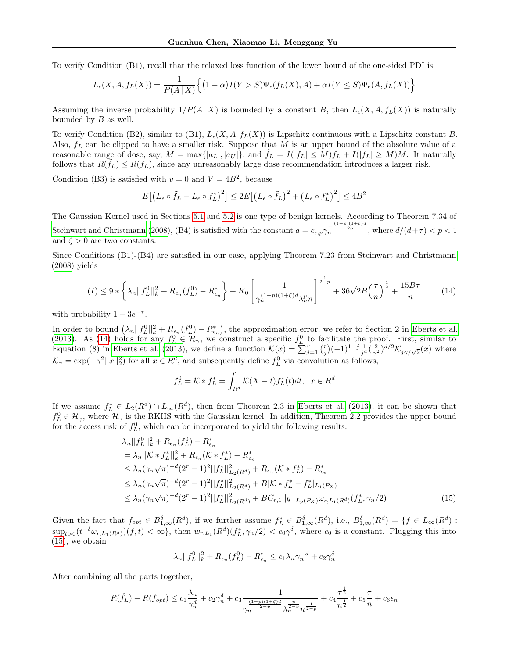To verify Condition (B1), recall that the relaxed loss function of the lower bound of the one-sided PDI is

$$
L_{\epsilon}(X, A, f_L(X)) = \frac{1}{P(A \mid X)} \Big\{ (1-\alpha)I(Y>S)\Psi_{\epsilon}(f_L(X), A) + \alpha I(Y \leq S)\Psi_{\epsilon}(A, f_L(X)) \Big\}
$$

Assuming the inverse probability  $1/P(A | X)$  is bounded by a constant B, then  $L_{\epsilon}(X, A, f_{L}(X))$  is naturally bounded by B as well.

To verify Condition (B2), similar to (B1),  $L_e(X, A, f_L(X))$  is Lipschitz continuous with a Lipschitz constant B. Also,  $f_L$  can be clipped to have a smaller risk. Suppose that M is an upper bound of the absolute value of a reasonable range of dose, say,  $M = \max\{|a_L|, |a_U|\}$ , and  $\tilde{f}_L = I(|f_L| \le M)f_L + I(|f_L| \ge M)M$ . It naturally follows that  $R(\tilde{f}_L) \leq R(f_L)$ , since any unreasonably large dose recommendation introduces a larger risk.

Condition (B3) is satisfied with  $v = 0$  and  $V = 4B^2$ , because

$$
E\left[\left(L_{\epsilon}\circ\tilde{f}_{L}-L_{\epsilon}\circ f_{L}^{*}\right)^{2}\right]\leq 2E\left[\left(L_{\epsilon}\circ\tilde{f}_{L}\right)^{2}+\left(L_{\epsilon}\circ f_{L}^{*}\right)^{2}\right]\leq 4B^{2}
$$

The Gaussian Kernel used in Sections [5.1](#page-5-2) and [5.2](#page-6-0) is one type of benign kernels. According to Theorem 7.34 of [Steinwart and Christmann](#page-9-10) [\(2008\)](#page-9-10), (B4) is satisfied with the constant  $a = c_{\epsilon,p} \gamma_n^{-\frac{(1-p)(1+\zeta)d}{2p}}$ , where  $d/(d+\tau) < p < 1$ and  $\zeta > 0$  are two constants.

Since Conditions (B1)-(B4) are satisfied in our case, applying Theorem 7.23 from [Steinwart and Christmann](#page-9-10) [\(2008\)](#page-9-10) yields

$$
(I) \leq 9 * \left\{ \lambda_n ||f_L^0||_k^2 + R_{\epsilon_n}(f_L^0) - R_{\epsilon_n}^* \right\} + K_0 \left[ \frac{1}{\gamma_n^{(1-p)(1+\zeta)d} \lambda_n^p n} \right]^{\frac{1}{2-p}} + 36\sqrt{2}B \left( \frac{\tau}{n} \right)^{\frac{1}{2}} + \frac{15B\tau}{n}
$$
(14)

with probability  $1 - 3e^{-\tau}$ .

In order to bound  $(\lambda_n||f_L^0||_k^2 + R_{\epsilon_n}(f_L^0) - R_{\epsilon_n}^*)$ , the approximation error, we refer to Section 2 in [Eberts et al.](#page-8-14) [\(2013\)](#page-8-14). As [\(14\)](#page-15-0) holds for any  $f_L^0 \in \mathcal{H}_{\gamma}$ , we construct a specific  $f_L^0$  to facilitate the proof. First, similar to Equation (8) in [Eberts et al.](#page-8-14) [\(2013\)](#page-8-14), we define a function  $\mathcal{K}(x) = \sum_{j=1}^{n} {r \choose j} (-1)^{1-j} \frac{1}{j^d} (\frac{2}{\gamma^2})^{d/2} \mathcal{K}_{j\gamma/\sqrt{2}}(x)$  where  $\mathcal{K}_{\gamma} = \exp(-\gamma^2 ||x||_2^2)$  for all  $x \in \mathbb{R}^d$ , and subsequently define  $f_L^0$  via convolution as follows,

<span id="page-15-0"></span>
$$
f_L^0 = \mathcal{K} * f_L^* = \int_{R^d} \mathcal{K}(X - t) f_L^*(t) dt, \ \ x \in R^d
$$

If we assume  $f_L^* \in L_2(R^d) \cap L_\infty(R^d)$ , then from Theorem 2.3 in [Eberts et al.](#page-8-14) [\(2013\)](#page-8-14), it can be shown that  $f_L^0 \in \mathcal{H}_{\gamma}$ , where  $\mathcal{H}_{\gamma}$  is the RKHS with the Gaussian kernel. In addition, Theorem 2.2 provides the upper bound for the access risk of  $f_L^0$ , which can be incorporated to yield the following results.

$$
\lambda_n ||f_L^0||_k^2 + R_{\epsilon_n}(f_L^0) - R_{\epsilon_n}^*
$$
\n
$$
= \lambda_n ||\mathcal{K} * f_L^*||_k^2 + R_{\epsilon_n}(\mathcal{K} * f_L^*) - R_{\epsilon_n}^*
$$
\n
$$
\leq \lambda_n (\gamma_n \sqrt{\pi})^{-d} (2^r - 1)^2 ||f_L^*||_{L_2(R^d)}^2 + R_{\epsilon_n}(\mathcal{K} * f_L^*) - R_{\epsilon_n}^*
$$
\n
$$
\leq \lambda_n (\gamma_n \sqrt{\pi})^{-d} (2^r - 1)^2 ||f_L^*||_{L_2(R^d)}^2 + B|\mathcal{K} * f_L^* - f_L^*|_{L_1(P_X)}
$$
\n
$$
\leq \lambda_n (\gamma_n \sqrt{\pi})^{-d} (2^r - 1)^2 ||f_L^*||_{L_2(R^d)}^2 + BC_{r,1} ||g||_{L_p(P_X)} \omega_{r,L_1(R^d)}(f_L^*, \gamma_n/2)
$$
\n(15)

Given the fact that  $f_{opt} \in B^{\delta}_{1,\infty}(R^d)$ , if we further assume  $f_L^* \in B^{\delta}_{1,\infty}(R^d)$ , i.e.,  $B^{\delta}_{1,\infty}(R^d) = \{f \in L_\infty(R^d)$ :  $\sup_{t>0} (t^{-\delta}\omega_{r,L_1(R^d)})(f,t) < \infty\},\$  then  $w_{r,L_1}(R^d)(f_L^*, \gamma_n/2) < c_0\gamma^{\delta}$ , where  $c_0$  is a constant. Plugging this into [\(15\)](#page-15-1), we obtain

<span id="page-15-1"></span>
$$
\lambda_n ||f_L^0||_k^2 + R_{\epsilon_n}(f_L^0) - R_{\epsilon_n}^* \le c_1 \lambda_n \gamma_n^{-d} + c_2 \gamma_n^{\delta}
$$

After combining all the parts together,

$$
R(\hat{f}_L) - R(f_{opt}) \le c_1 \frac{\lambda_n}{\gamma_n^d} + c_2 \gamma_n^{\delta} + c_3 \frac{1}{\gamma_n^{\frac{(1-p)(1+\zeta)d}{2-p}} \lambda_n^{\frac{p}{2-p}} n^{\frac{1}{2-p}}} + c_4 \frac{\tau^{\frac{1}{2}}}{n^{\frac{1}{2}}} + c_5 \frac{\tau}{n} + c_6 \epsilon_n
$$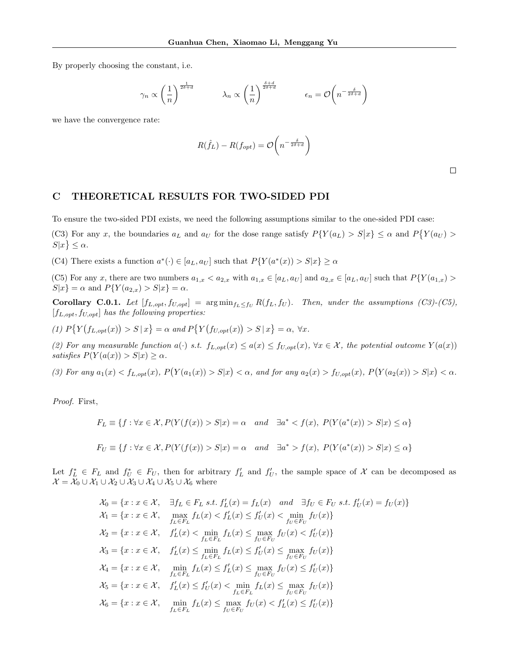By properly choosing the constant, i.e.

$$
\gamma_n \propto \left(\frac{1}{n}\right)^{\frac{1}{2\delta+d}} \qquad \lambda_n \propto \left(\frac{1}{n}\right)^{\frac{\delta+d}{2\delta+d}} \qquad \epsilon_n = \mathcal{O}\left(n^{-\frac{\delta}{2\delta+d}}\right)
$$

we have the convergence rate:

$$
R(\hat{f}_L) - R(f_{opt}) = \mathcal{O}\left(n^{-\frac{\delta}{2\delta + d}}\right)
$$

 $\Box$ 

# C THEORETICAL RESULTS FOR TWO-SIDED PDI

To ensure the two-sided PDI exists, we need the following assumptions similar to the one-sided PDI case:

(C3) For any x, the boundaries  $a_L$  and  $a_U$  for the dose range satisfy  $P\{Y(a_L) > S|x\} \leq \alpha$  and  $P\{Y(a_U) > S|x\}$  $S|x\rbrace \leq \alpha.$ 

(C4) There exists a function  $a^*(\cdot) \in [a_L, a_U]$  such that  $P\{Y(a^*(x)) > S|x\} \ge \alpha$ 

(C5) For any x, there are two numbers  $a_{1,x} < a_{2,x}$  with  $a_{1,x} \in [a_L, a_U]$  and  $a_{2,x} \in [a_L, a_U]$  such that  $P\{Y(a_{1,x}) > a_U\}$  $S|x] = \alpha$  and  $P\{Y(a_{2,x}) > S|x\} = \alpha$ .

<span id="page-16-0"></span>Corollary C.0.1. Let  $[f_{L,opt}, f_{U,opt}] = \arg \min_{f_L \leq f_U} R(f_L, f_U)$ . Then, under the assumptions (C3)-(C5),  $[f_{L,opt}, f_{U,opt}]$  has the following properties:

(1)  $P\{Y(f_{L,opt}(x)) > S | x\} = \alpha \text{ and } P\{Y(f_{U,opt}(x)) > S | x\} = \alpha, \forall x.$ 

(2) For any measurable function  $a(\cdot)$  s.t.  $f_{L,opt}(x) \leq a(x) \leq f_{U,opt}(x)$ ,  $\forall x \in \mathcal{X}$ , the potential outcome  $Y(a(x))$ satisfies  $P(Y(a(x)) > S|x) \ge \alpha$ .

(3) For any  $a_1(x) < f_{L, opt}(x)$ ,  $P(Y(a_1(x)) > S|x) < \alpha$ , and for any  $a_2(x) > f_{U, opt}(x)$ ,  $P(Y(a_2(x)) > S|x) < \alpha$ .

Proof. First,

$$
F_L \equiv \{f : \forall x \in \mathcal{X}, P(Y(f(x)) > S|x) = \alpha \quad and \quad \exists a^* < f(x), P(Y(a^*(x)) > S|x) \le \alpha\}
$$
\n
$$
F_U \equiv \{f : \forall x \in \mathcal{X}, P(Y(f(x)) > S|x) = \alpha \quad and \quad \exists a^* > f(x), P(Y(a^*(x)) > S|x) \le \alpha\}
$$

Let  $f_L^* \in F_L$  and  $f_U^* \in F_U$ , then for arbitrary  $f'_L$  and  $f'_U$ , the sample space of X can be decomposed as  $\mathcal{X} = \mathcal{X}_0 \cup \mathcal{X}_1 \cup \mathcal{X}_2 \cup \mathcal{X}_3 \cup \mathcal{X}_4 \cup \mathcal{X}_5 \cup \mathcal{X}_6$  where

$$
\mathcal{X}_0 = \{x : x \in \mathcal{X}, \quad \exists f_L \in F_L \text{ s.t. } f'_L(x) = f_L(x) \quad \text{and} \quad \exists f_U \in F_U \text{ s.t. } f'_U(x) = f_U(x)\}
$$
\n
$$
\mathcal{X}_1 = \{x : x \in \mathcal{X}, \quad \max_{f_L \in F_L} f_L(x) < f'_L(x) \le f'_U(x) < \min_{f_U \in F_U} f_U(x)\}
$$
\n
$$
\mathcal{X}_2 = \{x : x \in \mathcal{X}, \quad f'_L(x) < \min_{f_L \in F_L} f_L(x) \le \max_{f_U \in F_U} f_U(x) < f'_U(x)\}
$$
\n
$$
\mathcal{X}_3 = \{x : x \in \mathcal{X}, \quad f'_L(x) \le \min_{f_L \in F_L} f_L(x) \le f'_U(x) \le \max_{f_U \in F_U} f_U(x)\}
$$
\n
$$
\mathcal{X}_4 = \{x : x \in \mathcal{X}, \quad \min_{f_L \in F_L} f_L(x) \le f'_L(x) \le \max_{f_U \in F_U} f_U(x) \le f'_U(x)\}
$$
\n
$$
\mathcal{X}_5 = \{x : x \in \mathcal{X}, \quad f'_L(x) \le f'_U(x) < \min_{f_L \in F_L} f_L(x) \le \max_{f_U \in F_U} f_U(x)\}
$$
\n
$$
\mathcal{X}_6 = \{x : x \in \mathcal{X}, \quad \min_{f_L \in F_L} f_L(x) \le \max_{f_U \in F_U} f_U(x) < f'_L(x) \le f'_U(x)\}
$$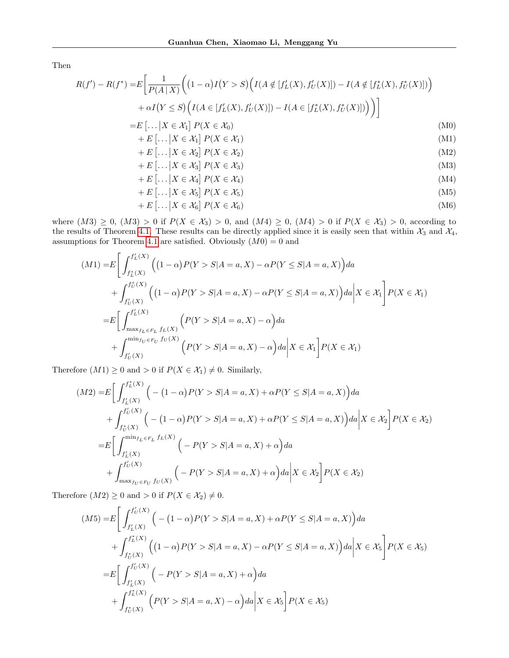Then

$$
R(f') - R(f^*) = E\left[\frac{1}{P(A|X)}\left((1-\alpha)I(Y>S)\left(I(A \notin [f'_L(X), f'_U(X)]) - I(A \notin [f'_L(X), f'_U(X)])\right) + \alpha I(Y \le S)\left(I(A \in [f'_L(X), f'_U(X)]) - I(A \in [f'_L(X), f'_U(X)])\right)\right)\right]
$$

$$
= E\left[\ldots \mid X \in \mathcal{X}_1\right] P(X \in \mathcal{X}_0) \tag{M0}
$$

$$
+ E\left[\dots \big| X \in \mathcal{X}_1\right] P(X \in \mathcal{X}_1) \tag{M1}
$$

$$
+ E\left[\dots \mid X \in \mathcal{X}_2\right] P(X \in \mathcal{X}_2) \tag{M2}
$$

$$
+ E\left[\dots \mid X \in \mathcal{X}_3\right] P(X \in \mathcal{X}_3) \tag{M3}
$$

$$
+ E\left[\dots \big| X \in \mathcal{X}_4\right] P(X \in \mathcal{X}_4) \tag{M4}
$$

$$
+ E\left[\dots | X \in \mathcal{X}_5\right] P(X \in \mathcal{X}_5)
$$
  
+ E\left[\dots | X \in \mathcal{X}\_6\right] P(X \in \mathcal{X}\_6) (M6)

where  $(M3) \ge 0$ ,  $(M3) > 0$  if  $P(X \in \mathcal{X}_3) > 0$ , and  $(M4) \ge 0$ ,  $(M4) > 0$  if  $P(X \in \mathcal{X}_3) > 0$ , according to the results of Theorem [4.1.](#page-4-1) These results can be directly applied since it is easily seen that within  $\mathcal{X}_3$  and  $\mathcal{X}_4$ , assumptions for Theorem [4.1](#page-4-1) are satisfied. Obviously  $(M0) = 0$  and

$$
(M1) = E \left[ \int_{f_L^*(X)}^{f_L^*(X)} \left( (1 - \alpha) P(Y > S | A = a, X) - \alpha P(Y \le S | A = a, X) \right) da + \int_{f_U^*(X)}^{f_U^*(X)} \left( (1 - \alpha) P(Y > S | A = a, X) - \alpha P(Y \le S | A = a, X) \right) da \right| X \in \mathcal{X}_1 \right] P(X \in \mathcal{X}_1)
$$
  
= 
$$
E \left[ \int_{\max_{f_L \in F_L} f_L(X)}^{f_L^*(X)} \left( P(Y > S | A = a, X) - \alpha \right) da + \int_{f_U^*(X)}^{\min_{f_U \in F_U} f_U(X)} \left( P(Y > S | A = a, X) - \alpha \right) da \right| X \in \mathcal{X}_1 \right] P(X \in \mathcal{X}_1)
$$

Therefore  $(M1) \geq 0$  and  $> 0$  if  $P(X \in \mathcal{X}_1) \neq 0$ . Similarly,

$$
(M2) = E \left[ \int_{f_L'(X)}^{f_L'(X)} \left( -(1 - \alpha)P(Y > S | A = a, X) + \alpha P(Y \le S | A = a, X) \right) da + \int_{f_U^*(X)}^{f_U'(X)} \left( -(1 - \alpha)P(Y > S | A = a, X) + \alpha P(Y \le S | A = a, X) \right) da \middle| X \in \mathcal{X}_2 \right] P(X \in \mathcal{X}_2)
$$
  
= 
$$
E \left[ \int_{f_L'(X)}^{\min_{f_L \in F_L} f_L(X)} \left( -P(Y > S | A = a, X) + \alpha \right) da + \int_{\max_{f_U \in F_U} f_U(X)}^{f_U'(X)} \left( -P(Y > S | A = a, X) + \alpha \right) da \middle| X \in \mathcal{X}_2 \right] P(X \in \mathcal{X}_2)
$$

Therefore  $(M2) \geq 0$  and  $> 0$  if  $P(X \in \mathcal{X}_2) \neq 0$ .

$$
(M5) = E \left[ \int_{f'_L(X)}^{f'_U(X)} \left( -(1 - \alpha)P(Y > S | A = a, X) + \alpha P(Y \le S | A = a, X) \right) da + \int_{f_U^*(X)}^{f_L^*(X)} \left( (1 - \alpha)P(Y > S | A = a, X) - \alpha P(Y \le S | A = a, X) \right) da \right| X \in \mathcal{X}_5 \right] P(X \in \mathcal{X}_5)
$$
  
= 
$$
E \left[ \int_{f'_L(X)}^{f'_U(X)} \left( -P(Y > S | A = a, X) + \alpha \right) da + \int_{f_U^*(X)}^{f_L^*(X)} \left( P(Y > S | A = a, X) - \alpha \right) da \right| X \in \mathcal{X}_5 \right] P(X \in \mathcal{X}_5)
$$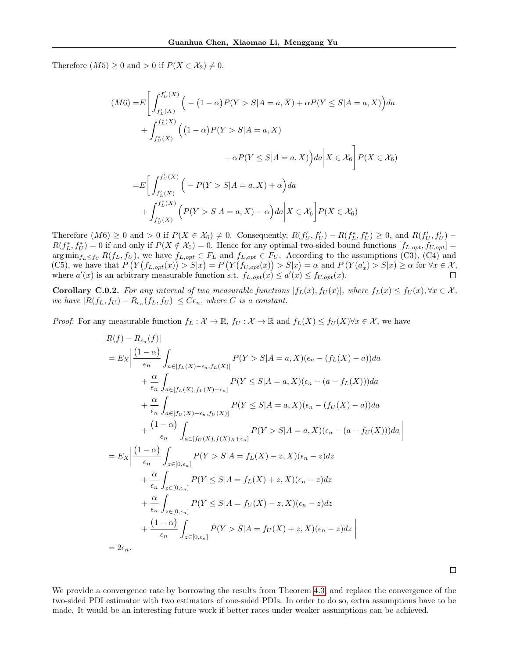Therefore  $(M5) \geq 0$  and  $> 0$  if  $P(X \in \mathcal{X}_2) \neq 0$ .

$$
(M6) = E\left[\int_{f'_L(X)}^{f'_U(X)} \left(-(1-\alpha)P(Y>S|A=a,X) + \alpha P(Y \leq S|A=a,X)\right) da + \int_{f^*_U(X)}^{f^*_L(X)} \left((1-\alpha)P(Y>S|A=a,X) - \alpha P(Y \leq S|A=a,X)\right) da \Big| X \in \mathcal{X}_6\right] P(X \in \mathcal{X}_6)
$$

$$
= E\left[\int_{f'_L(X)}^{f'_U(X)} \left(-P(Y>S|A=a,X) + \alpha\right) da + \int_{f^*_U(X)}^{f^*_L(X)} \left(P(Y>S|A=a,X) - \alpha\right) da \Big| X \in \mathcal{X}_6\right] P(X \in \mathcal{X}_6)
$$

Therefore  $(M6) \geq 0$  and  $> 0$  if  $P(X \in X_6) \neq 0$ . Consequently,  $R(f'_U, f'_U) - R(f_L^*, f_U^*) \geq 0$ , and  $R(f'_U, f'_U)$  $R(f_L^*, f_U^*) = 0$  if and only if  $P(X \notin X_0) = 0$ . Hence for any optimal two-sided bound functions  $[f_{L, opt}, f_{U, opt}] =$  $\arg\min_{f_L\leq f_U} R(f_L, f_U)$ , we have  $f_{L, opt} \in F_L$  and  $f_{L, opt} \in F_U$ . According to the assumptions (C3), (C4) and (C5), we have that  $P(Y(f_{L,opt}(x)) > S|x) = P(Y(f_{U,opt}(x)) > S|x) = \alpha$  and  $P(Y(a'_x) > S|x) \ge \alpha$  for  $\forall x \in \mathcal{X}$ , where  $a'(x)$  is an arbitrary measurable function s.t.  $f_{L,opt}(x) \le a'(x) \le f_{U,opt}(x)$ .

<span id="page-18-0"></span>**Corollary C.0.2.** For any interval of two measurable functions  $[f_L(x), f_U(x)]$ , where  $f_L(x) \leq f_U(x), \forall x \in \mathcal{X}$ , we have  $|R(f_L, f_U) - R_{\epsilon_n}(f_L, f_U)| \leq C\epsilon_n$ , where C is a constant.

*Proof.* For any measurable function  $f_L : \mathcal{X} \to \mathbb{R}$ ,  $f_U : \mathcal{X} \to \mathbb{R}$  and  $f_L(X) \leq f_U(X) \forall x \in \mathcal{X}$ , we have

$$
|R(f) - R_{\epsilon_n}(f)|
$$
  
\n
$$
= E_X \left| \frac{(1 - \alpha)}{\epsilon_n} \int_{a \in [f_L(X) - \epsilon_n, f_L(X)]} P(Y > S | A = a, X)(\epsilon_n - (f_L(X) - a)) da + \frac{\alpha}{\epsilon_n} \int_{a \in [f_L(X), f_L(X) + \epsilon_n]} P(Y \le S | A = a, X)(\epsilon_n - (a - f_L(X))) da + \frac{\alpha}{\epsilon_n} \int_{a \in [f_U(X) - \epsilon_n, f_U(X)]} P(Y \le S | A = a, X)(\epsilon_n - (f_U(X) - a)) da + \frac{(1 - \alpha)}{\epsilon_n} \int_{a \in [f_U(X), f(X)_R + \epsilon_n]} P(Y > S | A = a, X)(\epsilon_n - (a - f_U(X))) da + \frac{\alpha}{\epsilon_n} \int_{z \in [0, \epsilon_n]} P(Y > S | A = f_L(X) - z, X)(\epsilon_n - z) dz + \frac{\alpha}{\epsilon_n} \int_{z \in [0, \epsilon_n]} P(Y \le S | A = f_L(X) + z, X)(\epsilon_n - z) dz + \frac{\alpha}{\epsilon_n} \int_{z \in [0, \epsilon_n]} P(Y \le S | A = f_U(X) - z, X)(\epsilon_n - z) dz + \frac{(1 - \alpha)}{\epsilon_n} \int_{z \in [0, \epsilon_n]} P(Y > S | A = f_U(X) + z, X)(\epsilon_n - z) dz + \frac{(1 - \alpha)}{\epsilon_n} \int_{z \in [0, \epsilon_n]} P(Y > S | A = f_U(X) + z, X)(\epsilon_n - z) dz \right|
$$
  
\n
$$
= 2\epsilon_n.
$$

We provide a convergence rate by borrowing the results from Theorem [4.3,](#page-5-1) and replace the convergence of the two-sided PDI estimator with two estimators of one-sided PDIs. In order to do so, extra assumptions have to be made. It would be an interesting future work if better rates under weaker assumptions can be achieved.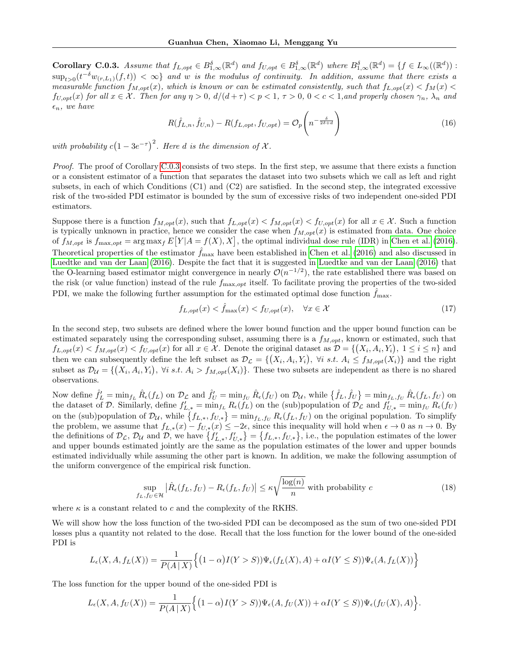<span id="page-19-0"></span>**Corollary C.0.3.** Assume that  $f_{L, opt} \in B^{\delta}_{1,\infty}(\mathbb{R}^d)$  and  $f_{U, opt} \in B^{\delta}_{1,\infty}(\mathbb{R}^d)$  where  $B^{\delta}_{1,\infty}(\mathbb{R}^d) = \{f \in L_{\infty}((\mathbb{R}^d)):$  $\sup_{t>0}(t^{-\delta}w_{(r,L_1)}(f,t))<\infty\}$  and w is the modulus of continuity. In addition, assume that there exists a measurable function  $f_{M,opt}(x)$ , which is known or can be estimated consistently, such that  $f_{L,opt}(x) < f_M(x)$  $f_{U,opt}(x)$  for all  $x \in \mathcal{X}$ . Then for any  $\eta > 0$ ,  $d/(d+\tau) < p < 1$ ,  $\tau > 0$ ,  $0 < c < 1$ , and properly chosen  $\gamma_n$ ,  $\lambda_n$  and  $\epsilon_n$ , we have

$$
R(\hat{f}_{L,n}, \hat{f}_{U,n}) - R(f_{L,opt}, f_{U,opt}) = \mathcal{O}_p\left(n^{-\frac{\delta}{2\delta + d}}\right)
$$
\n(16)

with probability  $c(1-3e^{-\tau})^2$ . Here d is the dimension of X.

Proof. The proof of Corollary [C.0.3](#page-19-0) consists of two steps. In the first step, we assume that there exists a function or a consistent estimator of a function that separates the dataset into two subsets which we call as left and right subsets, in each of which Conditions (C1) and (C2) are satisfied. In the second step, the integrated excessive risk of the two-sided PDI estimator is bounded by the sum of excessive risks of two independent one-sided PDI estimators.

Suppose there is a function  $f_{M,opt}(x)$ , such that  $f_{L,opt}(x) < f_{M,opt}(x) < f_{U,opt}(x)$  for all  $x \in \mathcal{X}$ . Such a function is typically unknown in practice, hence we consider the case when  $f_{M, opt}(x)$  is estimated from data. One choice of  $f_{M,opt}$  is  $f_{\text{max,opt}} = \arg \max_{f} E[Y|A = f(X), X]$ , the optimal individual dose rule (IDR) in [Chen et al.](#page-8-5) [\(2016\)](#page-8-5). Theoretical properties of the estimator  $\hat{f}_{\text{max}}$  have been established in [Chen et al.](#page-8-5) [\(2016\)](#page-8-5) and also discussed in [Luedtke and van der Laan](#page-9-23) [\(2016\)](#page-9-23). Despite the fact that it is suggested in [Luedtke and van der Laan](#page-9-23) [\(2016\)](#page-9-23) that the O-learning based estimator might convergence in nearly  $\mathcal{O}(n^{-1/2})$ , the rate established there was based on the risk (or value function) instead of the rule  $f_{\text{max}, opt}$  itself. To facilitate proving the properties of the two-sided PDI, we make the following further assumption for the estimated optimal dose function  $\hat{f}_{\text{max}}$ .

$$
f_{L,opt}(x) < \hat{f}_{\text{max}}(x) < f_{U,opt}(x), \quad \forall x \in \mathcal{X} \tag{17}
$$

In the second step, two subsets are defined where the lower bound function and the upper bound function can be estimated separately using the corresponding subset, assuming there is a  $f_{M, opt}$ , known or estimated, such that  $f_{L,opt}(x) < f_{M,opt}(x) < f_{U,opt}(x)$  for all  $x \in \mathcal{X}$ . Denote the original dataset as  $\mathcal{D} = \{(X_i, A_i, Y_i), 1 \leq i \leq n\}$  and then we can subsequently define the left subset as  $\mathcal{D}_{\mathcal{L}} = \{(X_i, A_i, Y_i), \forall i \text{ s.t. } A_i \leq f_{M,opt}(X_i)\}\$ and the right subset as  $\mathcal{D}_{\mathcal{U}} = \{(X_i, A_i, Y_i), \forall i \text{ s.t. } A_i > f_{M,opt}(X_i)\}.$  These two subsets are independent as there is no shared observations.

Now define  $\hat{f}'_L = \min_{f_L} \hat{R}_{\epsilon}(f_L)$  on  $\mathcal{D}_{\mathcal{L}}$  and  $\hat{f}'_U = \min_{f_U} \hat{R}_{\epsilon}(f_U)$  on  $\mathcal{D}_{\mathcal{U}}$ , while  $\{\hat{f}_L, \hat{f}_U\} = \min_{f_L, f_U} \hat{R}_{\epsilon}(f_L, f_U)$  on the dataset of D. Similarly, define  $f'_{L,*} = \min_{f_L} R_{\epsilon}(f_L)$  on the (sub)population of  $\mathcal{D}_{\mathcal{L}}$  and  $f'_{U,*} = \min_{f_U} R_{\epsilon}(f_U)$ on the (sub)population of  $\mathcal{D}_{\mathcal{U}}$ , while  $\{f_{L,\ast}, f_{U,\ast}\} = \min_{f_L, f_U} R_{\epsilon}(f_L, f_U)$  on the original population. To simplify the problem, we assume that  $f_{L,\ast}(x) - f_{U,\ast}(x) \leq -2\epsilon$ , since this inequality will hold when  $\epsilon \to 0$  as  $n \to 0$ . By the definitions of  $\mathcal{D}_{\mathcal{L}}, \mathcal{D}_{\mathcal{U}}$  and  $\mathcal{D},$  we have  $\{f'_{L,*}, f'_{U,*}\} = \{f_{L,*}, f_{U,*}\},$  i.e., the population estimates of the lower and upper bounds estimated jointly are the same as the population estimates of the lower and upper bounds estimated individually while assuming the other part is known. In addition, we make the following assumption of the uniform convergence of the empirical risk function.

<span id="page-19-1"></span>
$$
\sup_{f_L, f_U \in \mathcal{H}} \left| \hat{R}_{\epsilon}(f_L, f_U) - R_{\epsilon}(f_L, f_U) \right| \le \kappa \sqrt{\frac{\log(n)}{n}} \text{ with probability } c \tag{18}
$$

where  $\kappa$  is a constant related to c and the complexity of the RKHS.

We will show how the loss function of the two-sided PDI can be decomposed as the sum of two one-sided PDI losses plus a quantity not related to the dose. Recall that the loss function for the lower bound of the one-sided PDI is

$$
L_{\epsilon}(X, A, f_L(X)) = \frac{1}{P(A \mid X)} \Big\{ (1 - \alpha)I(Y > S)) \Psi_{\epsilon}(f_L(X), A) + \alpha I(Y \le S)) \Psi_{\epsilon}(A, f_L(X)) \Big\}
$$

The loss function for the upper bound of the one-sided PDI is

$$
L_{\epsilon}(X, A, f_U(X)) = \frac{1}{P(A \mid X)} \Big\{ (1 - \alpha)I(Y > S)) \Psi_{\epsilon}(A, f_U(X)) + \alpha I(Y \le S)) \Psi_{\epsilon}(f_U(X), A) \Big\}.
$$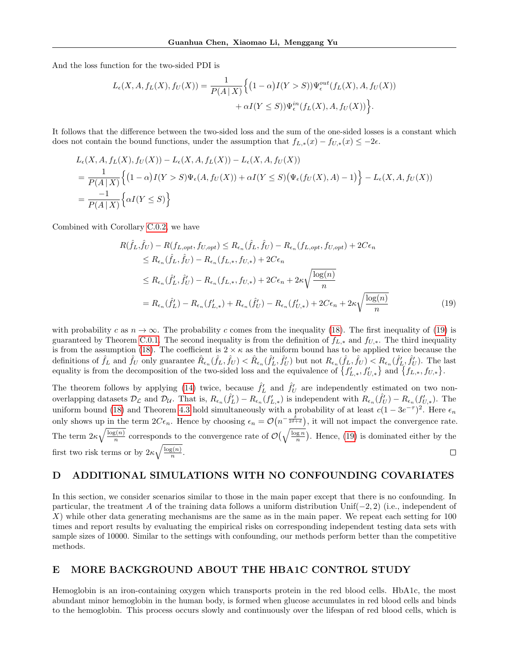And the loss function for the two-sided PDI is

$$
L_{\epsilon}(X, A, f_L(X), f_U(X)) = \frac{1}{P(A \mid X)} \Big\{ (1 - \alpha)I(Y > S)) \Psi_{\epsilon}^{out}(f_L(X), A, f_U(X)) + \alpha I(Y \le S)) \Psi_{\epsilon}^{in}(f_L(X), A, f_U(X)) \Big\}.
$$

It follows that the difference between the two-sided loss and the sum of the one-sided losses is a constant which does not contain the bound functions, under the assumption that  $f_{L,*}(x) - f_{U,*}(x) \leq -2\epsilon$ .

$$
L_{\epsilon}(X, A, f_L(X), f_U(X)) - L_{\epsilon}(X, A, f_L(X)) - L_{\epsilon}(X, A, f_U(X))
$$
  
= 
$$
\frac{1}{P(A|X)} \Big\{ (1 - \alpha)I(Y > S)\Psi_{\epsilon}(A, f_U(X)) + \alpha I(Y \le S)(\Psi_{\epsilon}(f_U(X), A) - 1) \Big\} - L_{\epsilon}(X, A, f_U(X))
$$
  
= 
$$
\frac{-1}{P(A|X)} \Big\{ \alpha I(Y \le S) \Big\}
$$

Combined with Corollary [C.0.2,](#page-18-0) we have

<span id="page-20-0"></span>
$$
R(\hat{f}_L, \hat{f}_U) - R(f_{L,opt}, f_{U,opt}) \le R_{\epsilon_n}(\hat{f}_L, \hat{f}_U) - R_{\epsilon_n}(f_{L,opt}, f_{U,opt}) + 2C\epsilon_n
$$
  
\n
$$
\le R_{\epsilon_n}(\hat{f}_L, \hat{f}_U) - R_{\epsilon_n}(f_{L,*}, f_{U,*}) + 2C\epsilon_n
$$
  
\n
$$
\le R_{\epsilon_n}(\hat{f}'_L, \hat{f}'_U) - R_{\epsilon_n}(f_{L,*}, f_{U,*}) + 2C\epsilon_n + 2\kappa \sqrt{\frac{\log(n)}{n}}
$$
  
\n
$$
= R_{\epsilon_n}(\hat{f}'_L) - R_{\epsilon_n}(f'_{L,*}) + R_{\epsilon_n}(\hat{f}'_U) - R_{\epsilon_n}(f'_{U,*}) + 2C\epsilon_n + 2\kappa \sqrt{\frac{\log(n)}{n}}
$$
\n(19)

with probability c as  $n \to \infty$ . The probability c comes from the inequality [\(18\)](#page-19-1). The first inequality of [\(19\)](#page-20-0) is guaranteed by Theorem [C.0.1.](#page-16-0) The second inequality is from the definition of  $f_{L,*}$  and  $f_{U,*}$ . The third inequality is from the assumption [\(18\)](#page-19-1). The coefficient is  $2 \times \kappa$  as the uniform bound has to be applied twice because the definitions of  $\hat{f}_L$  and  $\hat{f}_U$  only guarantee  $\hat{R}_{\epsilon_n}(\hat{f}_L, \hat{f}_U) < \hat{R}_{\epsilon_n}(\hat{f}'_L, \hat{f}'_U)$  but not  $R_{\epsilon_n}(\hat{f}_L, \hat{f}_U) < R_{\epsilon_n}(\hat{f}'_L, \hat{f}'_U)$ . The last equality is from the decomposition of the two-sided loss and the equivalence of  $\{f'_{L,\ast}, f'_{U,\ast}\}\$  and  $\{f_{L,\ast}, f_{U,\ast}\}.$ 

The theorem follows by applying [\(14\)](#page-15-0) twice, because  $\hat{f}'_L$  and  $\hat{f}'_U$  are independently estimated on two nonoverlapping datasets  $\mathcal{D}_{\mathcal{L}}$  and  $\mathcal{D}_{\mathcal{U}}$ . That is,  $R_{\epsilon_n}(\hat{f}'_L) - R_{\epsilon_n}(f'_{L,*})$  is independent with  $R_{\epsilon_n}(\hat{f}'_U) - R_{\epsilon_n}(f'_{U,*})$ . The uniform bound [\(18\)](#page-19-1) and Theorem [4.3](#page-5-1) hold simultaneously with a probability of at least  $c(1-3e^{-\tau})^2$ . Here  $\epsilon_n$ only shows up in the term  $2C\epsilon_n$ . Hence by choosing  $\epsilon_n = \mathcal{O}(n^{-\frac{\delta}{2\delta+d}})$ , it will not impact the convergence rate. The term  $2\kappa\sqrt{\frac{\log(n)}{n}}$  $\frac{\overline{s(n)}}{n}$  corresponds to the convergence rate of  $\mathcal{O}(\sqrt{\frac{\log n}{n}})$ . Hence, [\(19\)](#page-20-0) is dominated either by the first two risk terms or by  $2\kappa\sqrt{\frac{\log(n)}{n}}$  $\Box$  $\frac{\zeta(n)}{n}$ .

## D ADDITIONAL SIMULATIONS WITH NO CONFOUNDING COVARIATES

In this section, we consider scenarios similar to those in the main paper except that there is no confounding. In particular, the treatment A of the training data follows a uniform distribution Unif(−2, 2) (i.e., independent of  $X$ ) while other data generating mechanisms are the same as in the main paper. We repeat each setting for 100 times and report results by evaluating the empirical risks on corresponding independent testing data sets with sample sizes of 10000. Similar to the settings with confounding, our methods perform better than the competitive methods.

# E MORE BACKGROUND ABOUT THE HBA1C CONTROL STUDY

Hemoglobin is an iron-containing oxygen which transports protein in the red blood cells. HbA1c, the most abundant minor hemoglobin in the human body, is formed when glucose accumulates in red blood cells and binds to the hemoglobin. This process occurs slowly and continuously over the lifespan of red blood cells, which is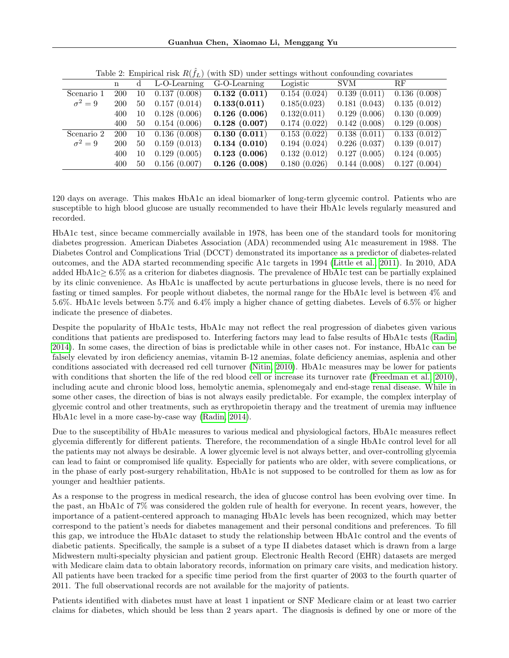Guanhua Chen, Xiaomao Li, Menggang Yu

|              | n          |    | $\frac{1}{2}$<br>L-O-Learning | "The second second second second commodation of the second<br>G-O-Learning | Logistic     | <b>SVM</b>   | $\rm RF$     |
|--------------|------------|----|-------------------------------|----------------------------------------------------------------------------|--------------|--------------|--------------|
| Scenario 1   | <b>200</b> | 10 | 0.137(0.008)                  | 0.132(0.011)                                                               | 0.154(0.024) | 0.139(0.011) | 0.136(0.008) |
| $\sigma^2=9$ | <b>200</b> | 50 | 0.157(0.014)                  | 0.133(0.011)                                                               | 0.185(0.023) | 0.181(0.043) | 0.135(0.012) |
|              | 400        | 10 | 0.128(0.006)                  | 0.126(0.006)                                                               | 0.132(0.011) | 0.129(0.006) | 0.130(0.009) |
|              | 400        | 50 | 0.154(0.006)                  | 0.128(0.007)                                                               | 0.174(0.022) | 0.142(0.008) | 0.129(0.008) |
| Scenario 2   | <b>200</b> | 10 | 0.136(0.008)                  | 0.130(0.011)                                                               | 0.153(0.022) | 0.138(0.011) | 0.133(0.012) |
| $\sigma^2=9$ | <b>200</b> | 50 | 0.159(0.013)                  | 0.134(0.010)                                                               | 0.194(0.024) | 0.226(0.037) | 0.139(0.017) |
|              | 400        | 10 | 0.129(0.005)                  | 0.123(0.006)                                                               | 0.132(0.012) | 0.127(0.005) | 0.124(0.005) |
|              | 400        | 50 | 0.156(0.007)                  | 0.126(0.008)                                                               | 0.180(0.026) | 0.144(0.008) | 0.127(0.004) |

Table 2: Empirical risk  $R(\hat{f}_L)$  (with SD) under settings without confounding covariates

120 days on average. This makes HbA1c an ideal biomarker of long-term glycemic control. Patients who are susceptible to high blood glucose are usually recommended to have their HbA1c levels regularly measured and recorded.

HbA1c test, since became commercially available in 1978, has been one of the standard tools for monitoring diabetes progression. American Diabetes Association (ADA) recommended using A1c measurement in 1988. The Diabetes Control and Complications Trial (DCCT) demonstrated its importance as a predictor of diabetes-related outcomes, and the ADA started recommending specific A1c targets in 1994 [\(Little et al., 2011\)](#page-9-24). In 2010, ADA added HbA1c≥ 6.5% as a criterion for diabetes diagnosis. The prevalence of HbA1c test can be partially explained by its clinic convenience. As HbA1c is unaffected by acute perturbations in glucose levels, there is no need for fasting or timed samples. For people without diabetes, the normal range for the HbA1c level is between 4% and 5.6%. HbA1c levels between 5.7% and 6.4% imply a higher chance of getting diabetes. Levels of 6.5% or higher indicate the presence of diabetes.

Despite the popularity of HbA1c tests, HbA1c may not reflect the real progression of diabetes given various conditions that patients are predisposed to. Interfering factors may lead to false results of HbA1c tests [\(Radin,](#page-9-25) [2014\)](#page-9-25). In some cases, the direction of bias is predictable while in other cases not. For instance, HbA1c can be falsely elevated by iron deficiency anemias, vitamin B-12 anemias, folate deficiency anemias, asplenia and other conditions associated with decreased red cell turnover [\(Nitin, 2010\)](#page-9-26). HbA1c measures may be lower for patients with conditions that shorten the life of the red blood cell or increase its turnover rate [\(Freedman et al., 2010\)](#page-9-27), including acute and chronic blood loss, hemolytic anemia, splenomegaly and end-stage renal disease. While in some other cases, the direction of bias is not always easily predictable. For example, the complex interplay of glycemic control and other treatments, such as erythropoietin therapy and the treatment of uremia may influence HbA1c level in a more case-by-case way [\(Radin, 2014\)](#page-9-25).

Due to the susceptibility of HbA1c measures to various medical and physiological factors, HbA1c measures reflect glycemia differently for different patients. Therefore, the recommendation of a single HbA1c control level for all the patients may not always be desirable. A lower glycemic level is not always better, and over-controlling glycemia can lead to faint or compromised life quality. Especially for patients who are older, with severe complications, or in the phase of early post-surgery rehabilitation, HbA1c is not supposed to be controlled for them as low as for younger and healthier patients.

As a response to the progress in medical research, the idea of glucose control has been evolving over time. In the past, an HbA1c of 7% was considered the golden rule of health for everyone. In recent years, however, the importance of a patient-centered approach to managing HbA1c levels has been recognized, which may better correspond to the patient's needs for diabetes management and their personal conditions and preferences. To fill this gap, we introduce the HbA1c dataset to study the relationship between HbA1c control and the events of diabetic patients. Specifically, the sample is a subset of a type II diabetes dataset which is drawn from a large Midwestern multi-specialty physician and patient group. Electronic Health Record (EHR) datasets are merged with Medicare claim data to obtain laboratory records, information on primary care visits, and medication history. All patients have been tracked for a specific time period from the first quarter of 2003 to the fourth quarter of 2011. The full observational records are not available for the majority of patients.

Patients identified with diabetes must have at least 1 inpatient or SNF Medicare claim or at least two carrier claims for diabetes, which should be less than 2 years apart. The diagnosis is defined by one or more of the